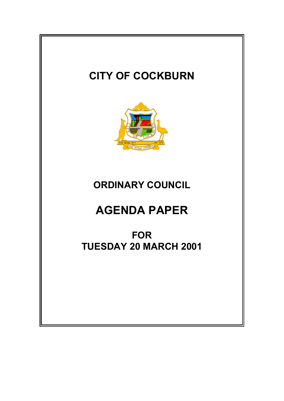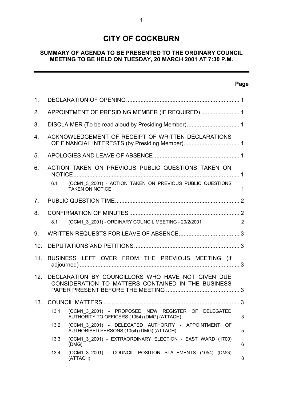# **CITY OF COCKBURN**

# **SUMMARY OF AGENDA TO BE PRESENTED TO THE ORDINARY COUNCIL MEETING TO BE HELD ON TUESDAY, 20 MARCH 2001 AT 7:30 P.M.**

# **Page**

 $\overline{a}$ 

| 1.  |                                                    |                                                                                                         |              |
|-----|----------------------------------------------------|---------------------------------------------------------------------------------------------------------|--------------|
| 2.  | APPOINTMENT OF PRESIDING MEMBER (IF REQUIRED)  1   |                                                                                                         |              |
| 3.  |                                                    |                                                                                                         |              |
| 4.  | ACKNOWLEDGEMENT OF RECEIPT OF WRITTEN DECLARATIONS |                                                                                                         |              |
| 5.  |                                                    |                                                                                                         |              |
| 6.  | ACTION TAKEN ON PREVIOUS PUBLIC QUESTIONS TAKEN ON |                                                                                                         |              |
|     | 6.1                                                | (OCM1 3 2001) - ACTION TAKEN ON PREVIOUS PUBLIC QUESTIONS<br><b>TAKEN ON NOTICE</b>                     | $\mathbf{1}$ |
| 7.  |                                                    |                                                                                                         |              |
| 8.  | 8.1                                                | (OCM1 3 2001) - ORDINARY COUNCIL MEETING - 20/2/2001                                                    | 2            |
| 9.  |                                                    |                                                                                                         |              |
| 10. |                                                    |                                                                                                         |              |
| 11. |                                                    | BUSINESS LEFT OVER FROM THE PREVIOUS MEETING (If                                                        |              |
| 12. |                                                    |                                                                                                         |              |
|     |                                                    | DECLARATION BY COUNCILLORS WHO HAVE NOT GIVEN DUE<br>CONSIDERATION TO MATTERS CONTAINED IN THE BUSINESS |              |
| 13. |                                                    |                                                                                                         |              |
|     | 13.1                                               | (OCM1 3 2001) - PROPOSED NEW REGISTER OF DELEGATED<br>AUTHORITY TO OFFICERS (1054) (DMG) (ATTACH)       | 3            |
|     | 13.2                                               | (OCM1 3 2001) - DELEGATED AUTHORITY - APPOINTMENT OF<br>AUTHORISED PERSONS (1054) (DMG) (ATTACH)        | 5            |
|     | 13.3                                               | (OCM1_3_2001) - EXTRAORDINARY ELECTION - EAST WARD (1700)<br>(DMG)                                      | 6            |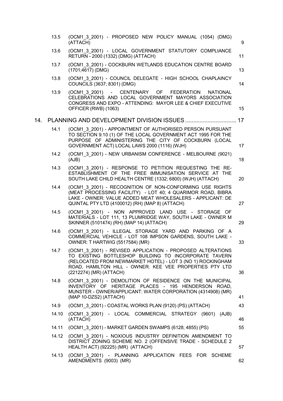|     | 13.5  | (OCM1 3 2001) - PROPOSED NEW POLICY MANUAL (1054) (DMG)<br>(ATTACH)                                                                                                                                                                                                     | 9  |
|-----|-------|-------------------------------------------------------------------------------------------------------------------------------------------------------------------------------------------------------------------------------------------------------------------------|----|
|     | 13.6  | (OCM1 3 2001) - LOCAL GOVERNMENT STATUTORY COMPLIANCE<br>RETURN - 2000 (1332) (DMG) (ATTACH)                                                                                                                                                                            | 11 |
|     | 13.7  | (OCM1 3 2001) - COCKBURN WETLANDS EDUCATION CENTRE BOARD<br>$(1701;4617)$ (DMG)                                                                                                                                                                                         | 13 |
|     | 13.8  | (OCM1 3 2001) - COUNCIL DELEGATE - HIGH SCHOOL CHAPLAINCY<br>COUNCILS (3637; 8301) (DMG)                                                                                                                                                                                | 14 |
|     | 13.9  | (OCM1 3 2001) - CENTENARY OF FEDERATION<br><b>NATIONAL</b><br>CELEBRATIONS AND LOCAL GOVERNMENT MAYORS ASSOCIATION<br>CONGRESS AND EXPO - ATTENDING: MAYOR LEE & CHIEF EXECUTIVE<br>OFFICER (RWB) (1063)                                                                | 15 |
| 14. |       |                                                                                                                                                                                                                                                                         |    |
|     | 14.1  | (OCM1 3 2001) - APPOINTMENT OF AUTHORISED PERSON PURSUANT<br>TO SECTION 9.10 (1) OF THE LOCAL GOVERNMENT ACT 1995 FOR THE<br>PURPOSE OF ADMINISTERING THE CITY OF COCKBURN (LOCAL<br>GOVERNMENT ACT) LOCAL LAWS 2000 (1116) (WJH)                                       | 17 |
|     | 14.2  | (OCM1 3 2001) - NEW URBANISM CONFERENCE - MELBOURNE (9021)<br>(AJB)                                                                                                                                                                                                     | 18 |
|     | 14.3  | (OCM1 3 2001) - RESPONSE TO PETITION REQUESTING THE RE-<br>ESTABLISHMENT OF THE FREE IMMUNISATION SERVICE AT THE<br>SOUTH LAKE CHILD HEALTH CENTRE (1332; 6800) (WJH) (ATTACH)                                                                                          | 20 |
|     | 14.4  | (OCM1 3 2001) - RECOGNITION OF NON-CONFORMING USE RIGHTS<br>(MEAT PROCESSING FACILITY) - LOT 40; 4 QUARIMOR ROAD, BIBRA<br>LAKE - OWNER: VALUE ADDED MEAT WHOLESALERS - APPLICANT: DE<br>QUINTAL PTY LTD (4100012) (RH) (MAP 8) (ATTACH)                                | 27 |
|     | 14.5  | (OCM1 3 2001) - NON APPROVED LAND USE - STORAGE OF<br>MATERIALS - LOT 111, 13 PLUMRIDGE WAY, SOUTH LAKE - OWNER M<br>SKINNER (5101474) (RH) (MAP 14) (ATTACH)                                                                                                           | 29 |
|     | 14.6  | (OCM1 3 2001) - ILLEGAL STORAGE YARD AND PARKING OF A<br>COMMERCIAL VEHICLE - LOT 108 IMPSON GARDENS, SOUTH LAKE -<br>OWNER: T HARTWIG (5517584) (MR)                                                                                                                   | 33 |
|     | 14.7  | (OCM1 3 2001) - REVISED APPLICATION - PROPOSED ALTERATIONS<br>TO EXISTING BOTTLESHOP BUILDING TO INCORPORATE TAVERN<br>(RELOCATED FROM NEWMARKET HOTEL) - LOT 3 (NO 1) ROCKINGHAM<br>ROAD, HAMILTON HILL - OWNER: KEE VEE PROPERTIES PTY LTD<br>(2212274) (MR) (ATTACH) | 36 |
|     | 14.8  | (OCM1_3_2001) - DEMOLITION OF RESIDENCE ON THE MUNICIPAL<br>INVENTORY OF HERITAGE PLACES - 195 HENDERSON ROAD,<br>MUNSTER - OWNER/APPLICANT: WATER CORPORATION (4314908) (MR)<br>(MAP 10-DZS2) (ATTACH)                                                                 | 41 |
|     | 14.9  | (OCM1 3 2001) - COASTAL WORKS PLAN (9120) (PS) (ATTACH)                                                                                                                                                                                                                 | 43 |
|     | 14.10 | (OCM1 3 2001) - LOCAL COMMERCIAL STRATEGY (9601) (AJB)<br>(ATTACH)                                                                                                                                                                                                      | 46 |
|     | 14.11 | (OCM1 3 2001) - MARKET GARDEN SWAMPS (6128; 4855) (PS)                                                                                                                                                                                                                  | 55 |
|     | 14.12 | (OCM1 3 2001) - NOXIOUS INDUSTRY DEFINITION AMENDMENT TO<br>DISTRICT ZONING SCHEME NO. 2 (OFFENSIVE TRADE - SCHEDULE 2<br>HEALTH ACT) (92225) (MR) (ATTACH)                                                                                                             | 57 |
|     | 14.13 | (OCM1 3 2001) - PLANNING APPLICATION FEES FOR SCHEME<br>AMENDMENTS (9003) (MR)                                                                                                                                                                                          | 62 |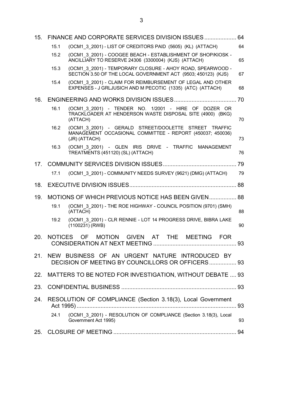| 15.             |                | FINANCE AND CORPORATE SERVICES DIVISION ISSUES 64                                                                                   |    |
|-----------------|----------------|-------------------------------------------------------------------------------------------------------------------------------------|----|
|                 | 15.1           | (OCM1 3 2001) - LIST OF CREDITORS PAID (5605) (KL) (ATTACH)                                                                         | 64 |
|                 | 15.2           | (OCM1 3 2001) - COOGEE BEACH - ESTABLISHMENT OF SHOP/KIOSK -<br>ANCILLIARY TO RESERVE 24306 (3300004) (KJS) (ATTACH)                | 65 |
|                 | 15.3           | (OCM1 3 2001) - TEMPORARY CLOSURE - AHOY ROAD, SPEARWOOD -<br>SECTION 3.50 OF THE LOCAL GOVERNMENT ACT (9503; 450123) (KJS)         | 67 |
|                 | 15.4           | (OCM1 3 2001) - CLAIM FOR REIMBURSEMENT OF LEGAL AND OTHER<br>EXPENSES - J GRLJUSICH AND M PECOTIC (1335) (ATC) (ATTACH)            | 68 |
| 16.             |                |                                                                                                                                     |    |
|                 | 16.1           | (OCM1 3 2001) - TENDER NO. 1/2001 - HIRE OF DOZER OR<br>TRACKLOADER AT HENDERSON WASTE DISPOSAL SITE (4900) (BKG)<br>(ATTACH)       | 70 |
|                 | 16.2           | (OCM1 3 2001) - GERALD STREET/DOOLETTE STREET TRAFFIC<br>MANAGEMENT OCCASIONAL COMMITTEE - REPORT (450037; 450036)<br>(JR) (ATTACH) | 73 |
|                 | 16.3           | (OCM1 3 2001) - GLEN IRIS DRIVE - TRAFFIC MANAGEMENT<br>TREATMENTS (451120) (SL) (ATTACH)                                           | 76 |
| 17 <sub>1</sub> |                |                                                                                                                                     |    |
|                 | 17.1           | (OCM1 3 2001) - COMMUNITY NEEDS SURVEY (9621) (DMG) (ATTACH)                                                                        | 79 |
| 18.             |                |                                                                                                                                     |    |
| 19.             |                | MOTIONS OF WHICH PREVIOUS NOTICE HAS BEEN GIVEN 88                                                                                  |    |
|                 | 19.1           | (OCM1 3 2001) - THE ROE HIGHWAY - COUNCIL POSITION (9701) (SMH)<br>(ATTACH)                                                         | 88 |
|                 | 19.2           | (OCM1_3_2001) - CLR RENNIE - LOT 14 PROGRESS DRIVE, BIBRA LAKE<br>$(1100231)$ (RWB)                                                 | 90 |
| 20.             | <b>NOTICES</b> | OF MOTION GIVEN AT THE<br><b>MEETING</b><br><b>FOR</b>                                                                              | 93 |
| 21.             |                | NEW BUSINESS OF AN URGENT NATURE INTRODUCED BY<br>DECISION OF MEETING BY COUNCILLORS OR OFFICERS 93                                 |    |
|                 |                | 22. MATTERS TO BE NOTED FOR INVESTIGATION, WITHOUT DEBATE  93                                                                       |    |
| 23.             |                |                                                                                                                                     |    |
| 24.             |                | RESOLUTION OF COMPLIANCE (Section 3.18(3), Local Government                                                                         | 93 |
|                 | 24.1           | (OCM1 3 2001) - RESOLUTION OF COMPLIANCE (Section 3.18(3), Local<br>Government Act 1995)                                            | 93 |
|                 |                |                                                                                                                                     |    |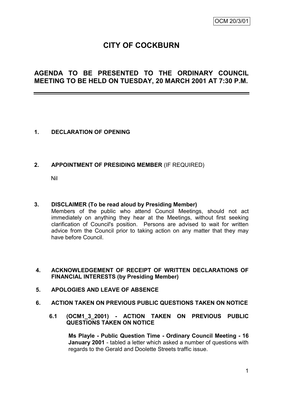# **CITY OF COCKBURN**

# **AGENDA TO BE PRESENTED TO THE ORDINARY COUNCIL MEETING TO BE HELD ON TUESDAY, 20 MARCH 2001 AT 7:30 P.M.**

# **1. DECLARATION OF OPENING**

# **2. APPOINTMENT OF PRESIDING MEMBER** (IF REQUIRED)

Nil

# **3. DISCLAIMER (To be read aloud by Presiding Member)**

Members of the public who attend Council Meetings, should not act immediately on anything they hear at the Meetings, without first seeking clarification of Council's position. Persons are advised to wait for written advice from the Council prior to taking action on any matter that they may have before Council.

# **4. ACKNOWLEDGEMENT OF RECEIPT OF WRITTEN DECLARATIONS OF FINANCIAL INTERESTS (by Presiding Member)**

# **5. APOLOGIES AND LEAVE OF ABSENCE**

- **6. ACTION TAKEN ON PREVIOUS PUBLIC QUESTIONS TAKEN ON NOTICE**
	- **6.1 (OCM1\_3\_2001) - ACTION TAKEN ON PREVIOUS PUBLIC QUESTIONS TAKEN ON NOTICE**

**Ms Playle - Public Question Time - Ordinary Council Meeting - 16 January 2001** - tabled a letter which asked a number of questions with regards to the Gerald and Doolette Streets traffic issue.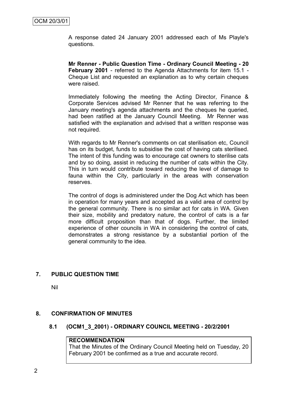A response dated 24 January 2001 addressed each of Ms Playle's questions.

**Mr Renner - Public Question Time - Ordinary Council Meeting - 20 February 2001** - referred to the Agenda Attachments for item 15.1 - Cheque List and requested an explanation as to why certain cheques were raised.

Immediately following the meeting the Acting Director, Finance & Corporate Services advised Mr Renner that he was referring to the January meeting's agenda attachments and the cheques he queried, had been ratified at the January Council Meeting. Mr Renner was satisfied with the explanation and advised that a written response was not required.

With regards to Mr Renner's comments on cat sterilisation etc, Council has on its budget, funds to subsidise the cost of having cats sterilised. The intent of this funding was to encourage cat owners to sterilise cats and by so doing, assist in reducing the number of cats within the City. This in turn would contribute toward reducing the level of damage to fauna within the City, particularly in the areas with conservation reserves.

The control of dogs is administered under the Dog Act which has been in operation for many years and accepted as a valid area of control by the general community. There is no similar act for cats in WA. Given their size, mobility and predatory nature, the control of cats is a far more difficult proposition than that of dogs. Further, the limited experience of other councils in WA in considering the control of cats, demonstrates a strong resistance by a substantial portion of the general community to the idea.

# **7. PUBLIC QUESTION TIME**

Nil

#### **8. CONFIRMATION OF MINUTES**

#### **8.1 (OCM1\_3\_2001) - ORDINARY COUNCIL MEETING - 20/2/2001**

#### **RECOMMENDATION**

That the Minutes of the Ordinary Council Meeting held on Tuesday, 20 February 2001 be confirmed as a true and accurate record.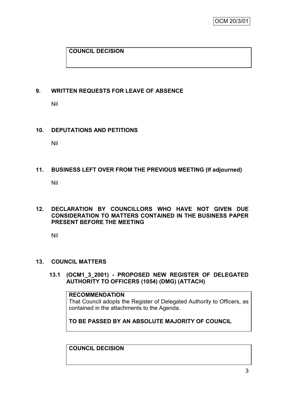# **COUNCIL DECISION**

# **9. WRITTEN REQUESTS FOR LEAVE OF ABSENCE**

Nil

# **10. DEPUTATIONS AND PETITIONS**

Nil

# **11. BUSINESS LEFT OVER FROM THE PREVIOUS MEETING (If adjourned)**

Nil

# **12. DECLARATION BY COUNCILLORS WHO HAVE NOT GIVEN DUE CONSIDERATION TO MATTERS CONTAINED IN THE BUSINESS PAPER PRESENT BEFORE THE MEETING**

Nil

# **13. COUNCIL MATTERS**

**13.1 (OCM1\_3\_2001) - PROPOSED NEW REGISTER OF DELEGATED AUTHORITY TO OFFICERS (1054) (DMG) (ATTACH)**

#### **RECOMMENDATION**

That Council adopts the Register of Delegated Authority to Officers, as contained in the attachments to the Agenda.

**TO BE PASSED BY AN ABSOLUTE MAJORITY OF COUNCIL**

**COUNCIL DECISION**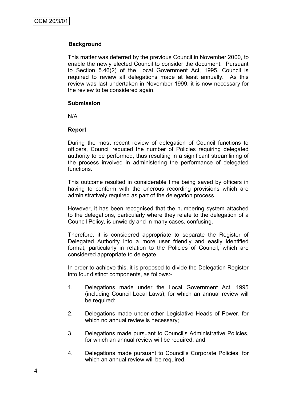# **Background**

This matter was deferred by the previous Council in November 2000, to enable the newly elected Council to consider the document. Pursuant to Section 5.46(2) of the Local Government Act, 1995, Council is required to review all delegations made at least annually. As this review was last undertaken in November 1999, it is now necessary for the review to be considered again.

#### **Submission**

N/A

#### **Report**

During the most recent review of delegation of Council functions to officers, Council reduced the number of Policies requiring delegated authority to be performed, thus resulting in a significant streamlining of the process involved in administering the performance of delegated functions.

This outcome resulted in considerable time being saved by officers in having to conform with the onerous recording provisions which are administratively required as part of the delegation process.

However, it has been recognised that the numbering system attached to the delegations, particularly where they relate to the delegation of a Council Policy, is unwieldy and in many cases, confusing.

Therefore, it is considered appropriate to separate the Register of Delegated Authority into a more user friendly and easily identified format, particularly in relation to the Policies of Council, which are considered appropriate to delegate.

In order to achieve this, it is proposed to divide the Delegation Register into four distinct components, as follows:-

- 1. Delegations made under the Local Government Act, 1995 (including Council Local Laws), for which an annual review will be required;
- 2. Delegations made under other Legislative Heads of Power, for which no annual review is necessary;
- 3. Delegations made pursuant to Council"s Administrative Policies, for which an annual review will be required; and
- 4. Delegations made pursuant to Council"s Corporate Policies, for which an annual review will be required.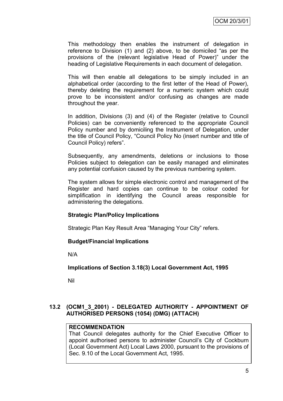This methodology then enables the instrument of delegation in reference to Division (1) and (2) above, to be domiciled "as per the provisions of the (relevant legislative Head of Power)" under the heading of Legislative Requirements in each document of delegation.

This will then enable all delegations to be simply included in an alphabetical order (according to the first letter of the Head of Power), thereby deleting the requirement for a numeric system which could prove to be inconsistent and/or confusing as changes are made throughout the year.

In addition, Divisions (3) and (4) of the Register (relative to Council Policies) can be conveniently referenced to the appropriate Council Policy number and by domiciling the Instrument of Delegation, under the title of Council Policy, "Council Policy No (insert number and title of Council Policy) refers".

Subsequently, any amendments, deletions or inclusions to those Policies subject to delegation can be easily managed and eliminates any potential confusion caused by the previous numbering system.

The system allows for simple electronic control and management of the Register and hard copies can continue to be colour coded for simplification in identifying the Council areas responsible for administering the delegations.

# **Strategic Plan/Policy Implications**

Strategic Plan Key Result Area "Managing Your City" refers.

# **Budget/Financial Implications**

N/A

**Implications of Section 3.18(3) Local Government Act, 1995**

Nil

# **13.2 (OCM1\_3\_2001) - DELEGATED AUTHORITY - APPOINTMENT OF AUTHORISED PERSONS (1054) (DMG) (ATTACH)**

# **RECOMMENDATION**

That Council delegates authority for the Chief Executive Officer to appoint authorised persons to administer Council"s City of Cockburn (Local Government Act) Local Laws 2000, pursuant to the provisions of Sec. 9.10 of the Local Government Act, 1995.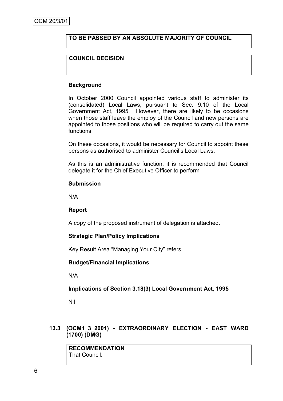# **TO BE PASSED BY AN ABSOLUTE MAJORITY OF COUNCIL**

# **COUNCIL DECISION**

#### **Background**

In October 2000 Council appointed various staff to administer its (consolidated) Local Laws, pursuant to Sec. 9.10 of the Local Government Act, 1995. However, there are likely to be occasions when those staff leave the employ of the Council and new persons are appointed to those positions who will be required to carry out the same functions.

On these occasions, it would be necessary for Council to appoint these persons as authorised to administer Council"s Local Laws.

As this is an administrative function, it is recommended that Council delegate it for the Chief Executive Officer to perform

#### **Submission**

N/A

#### **Report**

A copy of the proposed instrument of delegation is attached.

#### **Strategic Plan/Policy Implications**

Key Result Area "Managing Your City" refers.

#### **Budget/Financial Implications**

N/A

# **Implications of Section 3.18(3) Local Government Act, 1995**

Nil

# **13.3 (OCM1\_3\_2001) - EXTRAORDINARY ELECTION - EAST WARD (1700) (DMG)**

**RECOMMENDATION** That Council: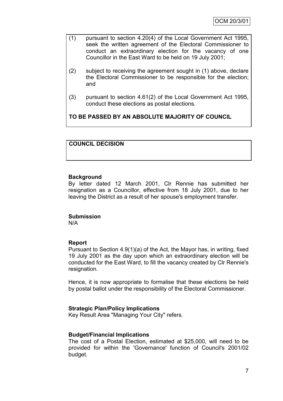- (1) pursuant to section 4.20(4) of the Local Government Act 1995, seek the written agreement of the Electoral Commissioner to conduct an extraordinary election for the vacancy of one Councillor in the East Ward to be held on 19 July 2001;
- (2) subject to receiving the agreement sought in (1) above, declare the Electoral Commissioner to be responsible for the election; and
- (3) pursuant to section 4.61(2) of the Local Government Act 1995, conduct these elections as postal elections.

**TO BE PASSED BY AN ABSOLUTE MAJORITY OF COUNCIL** 

# **COUNCIL DECISION**

#### **Background**

By letter dated 12 March 2001, Clr Rennie has submitted her resignation as a Councillor, effective from 18 July 2001, due to her leaving the District as a result of her spouse's employment transfer.

# **Submission**

N/A

# **Report**

Pursuant to Section 4.9(1)(a) of the Act, the Mayor has, in writing, fixed 19 July 2001 as the day upon which an extraordinary election will be conducted for the East Ward, to fill the vacancy created by Clr Rennie's resignation.

Hence, it is now appropriate to formalise that these elections be held by postal ballot under the responsibility of the Electoral Commissioner.

# **Strategic Plan/Policy Implications**

Key Result Area "Managing Your City" refers.

# **Budget/Financial Implications**

The cost of a Postal Election, estimated at \$25,000, will need to be provided for within the 'Governance' function of Council's 2001/02 budget.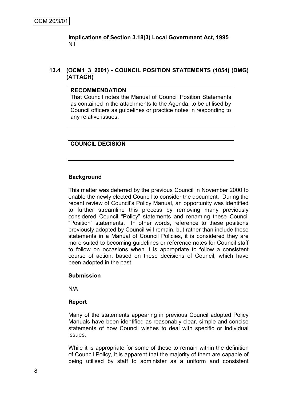**Implications of Section 3.18(3) Local Government Act, 1995** Nil

**13.4 (OCM1\_3\_2001) - COUNCIL POSITION STATEMENTS (1054) (DMG) (ATTACH)**

#### **RECOMMENDATION**

That Council notes the Manual of Council Position Statements as contained in the attachments to the Agenda, to be utilised by Council officers as guidelines or practice notes in responding to any relative issues.

**COUNCIL DECISION**

# **Background**

This matter was deferred by the previous Council in November 2000 to enable the newly elected Council to consider the document. During the recent review of Council"s Policy Manual, an opportunity was identified to further streamline this process by removing many previously considered Council "Policy" statements and renaming these Council "Position" statements. In other words, reference to these positions previously adopted by Council will remain, but rather than include these statements in a Manual of Council Policies, it is considered they are more suited to becoming guidelines or reference notes for Council staff to follow on occasions when it is appropriate to follow a consistent course of action, based on these decisions of Council, which have been adopted in the past.

#### **Submission**

N/A

#### **Report**

Many of the statements appearing in previous Council adopted Policy Manuals have been identified as reasonably clear, simple and concise statements of how Council wishes to deal with specific or individual issues.

While it is appropriate for some of these to remain within the definition of Council Policy, it is apparent that the majority of them are capable of being utilised by staff to administer as a uniform and consistent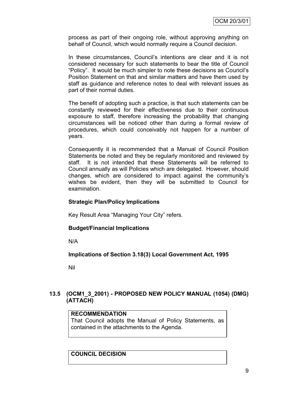process as part of their ongoing role, without approving anything on behalf of Council, which would normally require a Council decision.

In these circumstances, Council"s intentions are clear and it is not considered necessary for such statements to bear the title of Council "Policy". It would be much simpler to note these decisions as Council"s Position Statement on that and similar matters and have them used by staff as guidance and reference notes to deal with relevant issues as part of their normal duties.

The benefit of adopting such a practice, is that such statements can be constantly reviewed for their effectiveness due to their continuous exposure to staff, therefore increasing the probability that changing circumstances will be noticed other than during a formal review of procedures, which could conceivably not happen for a number of years.

Consequently it is recommended that a Manual of Council Position Statements be noted and they be regularly monitored and reviewed by staff. It is not intended that these Statements will be referred to Council annually as will Policies which are delegated. However, should changes, which are considered to impact against the community"s wishes be evident, then they will be submitted to Council for examination.

# **Strategic Plan/Policy Implications**

Key Result Area "Managing Your City" refers.

# **Budget/Financial Implications**

N/A

**Implications of Section 3.18(3) Local Government Act, 1995**

Nil

# **13.5 (OCM1\_3\_2001) - PROPOSED NEW POLICY MANUAL (1054) (DMG) (ATTACH)**

# **RECOMMENDATION**

That Council adopts the Manual of Policy Statements, as contained in the attachments to the Agenda.

# **COUNCIL DECISION**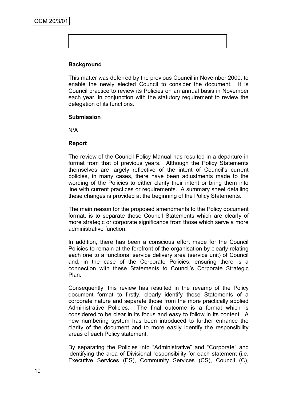# **Background**

This matter was deferred by the previous Council in November 2000, to enable the newly elected Council to consider the document. It is Council practice to review its Policies on an annual basis in November each year, in conjunction with the statutory requirement to review the delegation of its functions.

#### **Submission**

N/A

#### **Report**

The review of the Council Policy Manual has resulted in a departure in format from that of previous years. Although the Policy Statements themselves are largely reflective of the intent of Council"s current policies, in many cases, there have been adjustments made to the wording of the Policies to either clarify their intent or bring them into line with current practices or requirements. A summary sheet detailing these changes is provided at the beginning of the Policy Statements.

The main reason for the proposed amendments to the Policy document format, is to separate those Council Statements which are clearly of more strategic or corporate significance from those which serve a more administrative function.

In addition, there has been a conscious effort made for the Council Policies to remain at the forefront of the organisation by clearly relating each one to a functional service delivery area (service unit) of Council and, in the case of the Corporate Policies, ensuring there is a connection with these Statements to Council"s Corporate Strategic Plan.

Consequently, this review has resulted in the revamp of the Policy document format to firstly, clearly identify those Statements of a corporate nature and separate those from the more practically applied Administrative Policies. The final outcome is a format which is considered to be clear in its focus and easy to follow in its content. A new numbering system has been introduced to further enhance the clarity of the document and to more easily identify the responsibility areas of each Policy statement.

By separating the Policies into "Administrative" and "Corporate" and identifying the area of Divisional responsibility for each statement (i.e. Executive Services (ES), Community Services (CS), Council (C),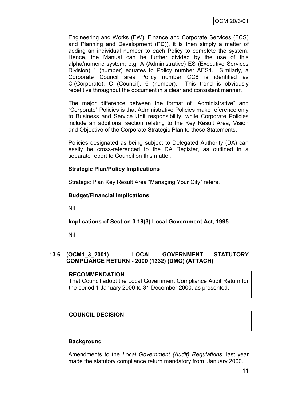Engineering and Works (EW), Finance and Corporate Services (FCS) and Planning and Development (PD)), it is then simply a matter of adding an individual number to each Policy to complete the system. Hence, the Manual can be further divided by the use of this alpha/numeric system; e.g. A (Administrative) ES (Executive Services Division) 1 (number) equates to Policy number AES1. Similarly, a Corporate Council area Policy number CC6 is identified as C (Corporate), C (Council), 6 (number). This trend is obviously repetitive throughout the document in a clear and consistent manner.

The major difference between the format of "Administrative" and "Corporate" Policies is that Administrative Policies make reference only to Business and Service Unit responsibility, while Corporate Policies include an additional section relating to the Key Result Area, Vision and Objective of the Corporate Strategic Plan to these Statements.

Policies designated as being subject to Delegated Authority (DA) can easily be cross-referenced to the DA Register, as outlined in a separate report to Council on this matter.

# **Strategic Plan/Policy Implications**

Strategic Plan Key Result Area "Managing Your City" refers.

# **Budget/Financial Implications**

Nil

# **Implications of Section 3.18(3) Local Government Act, 1995**

Nil

# **13.6 (OCM1\_3\_2001) - LOCAL GOVERNMENT STATUTORY COMPLIANCE RETURN - 2000 (1332) (DMG) (ATTACH)**

# **RECOMMENDATION**

That Council adopt the Local Government Compliance Audit Return for the period 1 January 2000 to 31 December 2000, as presented.

# **COUNCIL DECISION**

# **Background**

Amendments to the *Local Government (Audit) Regulations*, last year made the statutory compliance return mandatory from January 2000.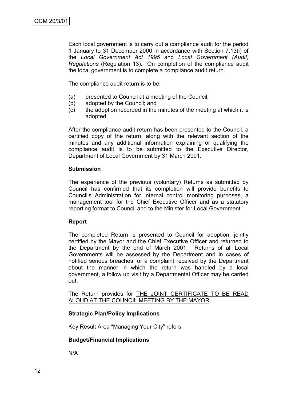Each local government is to carry out a compliance audit for the period 1 January to 31 December 2000 in accordance with Section 7.13(i) of the *Local Government Act 1995* and *Local Government (Audit) Regulations* (Regulation 13). On completion of the compliance audit the local government is to complete a compliance audit return.

The compliance audit return is to be:

- (a) presented to Council at a meeting of the Council;
- (b) adopted by the Council; and
- (c) the adoption recorded in the minutes of the meeting at which it is adopted.

After the compliance audit return has been presented to the Council, a certified copy of the return, along with the relevant section of the minutes and any additional information explaining or qualifying the compliance audit is to be submitted to the Executive Director, Department of Local Government by 31 March 2001.

#### **Submission**

The experience of the previous (voluntary) Returns as submitted by Council has confirmed that its completion will provide benefits to Council"s Administration for internal control monitoring purposes, a management tool for the Chief Executive Officer and as a statutory reporting format to Council and to the Minister for Local Government.

#### **Report**

The completed Return is presented to Council for adoption, jointly certified by the Mayor and the Chief Executive Officer and returned to the Department by the end of March 2001. Returns of all Local Governments will be assessed by the Department and in cases of notified serious breaches, or a complaint received by the Department about the manner in which the return was handled by a local government, a follow up visit by a Departmental Officer may be carried out.

The Return provides for **THE JOINT CERTIFICATE TO BE READ** ALOUD AT THE COUNCIL MEETING BY THE MAYOR

# **Strategic Plan/Policy Implications**

Key Result Area "Managing Your City" refers.

# **Budget/Financial Implications**

N/A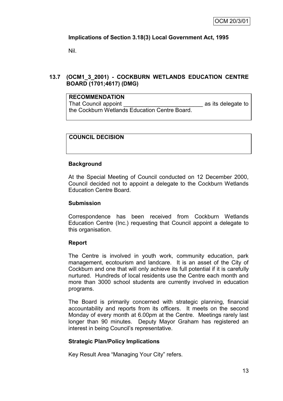# **Implications of Section 3.18(3) Local Government Act, 1995**

Nil.

# **13.7 (OCM1\_3\_2001) - COCKBURN WETLANDS EDUCATION CENTRE BOARD (1701;4617) (DMG)**

# **RECOMMENDATION**

That Council appoint That Council appoint  $\overline{a}$  as its delegate to the Cockburn Wetlands Education Centre Board.

# **COUNCIL DECISION**

# **Background**

At the Special Meeting of Council conducted on 12 December 2000, Council decided not to appoint a delegate to the Cockburn Wetlands Education Centre Board.

# **Submission**

Correspondence has been received from Cockburn Wetlands Education Centre (Inc.) requesting that Council appoint a delegate to this organisation.

# **Report**

The Centre is involved in youth work, community education, park management, ecotourism and landcare. It is an asset of the City of Cockburn and one that will only achieve its full potential if it is carefully nurtured. Hundreds of local residents use the Centre each month and more than 3000 school students are currently involved in education programs.

The Board is primarily concerned with strategic planning, financial accountability and reports from its officers. It meets on the second Monday of every month at 6.00pm at the Centre. Meetings rarely last longer than 90 minutes. Deputy Mayor Graham has registered an interest in being Council"s representative.

# **Strategic Plan/Policy Implications**

Key Result Area "Managing Your City" refers.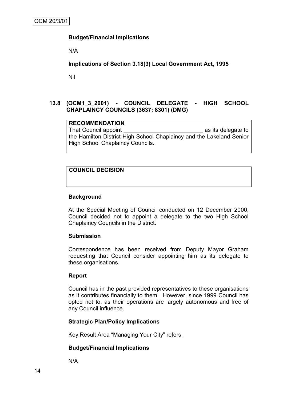# **Budget/Financial Implications**

N/A

**Implications of Section 3.18(3) Local Government Act, 1995**

Nil

# **13.8 (OCM1\_3\_2001) - COUNCIL DELEGATE - HIGH SCHOOL CHAPLAINCY COUNCILS (3637; 8301) (DMG)**

**RECOMMENDATION** That Council appoint That Council appoint the Hamilton District High School Chaplaincy and the Lakeland Senior High School Chaplaincy Councils.

# **COUNCIL DECISION**

# **Background**

At the Special Meeting of Council conducted on 12 December 2000, Council decided not to appoint a delegate to the two High School Chaplaincy Councils in the District.

#### **Submission**

Correspondence has been received from Deputy Mayor Graham requesting that Council consider appointing him as its delegate to these organisations.

# **Report**

Council has in the past provided representatives to these organisations as it contributes financially to them. However, since 1999 Council has opted not to, as their operations are largely autonomous and free of any Council influence.

# **Strategic Plan/Policy Implications**

Key Result Area "Managing Your City" refers.

# **Budget/Financial Implications**

N/A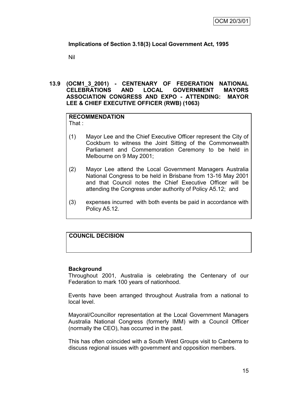# **Implications of Section 3.18(3) Local Government Act, 1995**

Nil

# **13.9 (OCM1\_3\_2001) - CENTENARY OF FEDERATION NATIONAL CELEBRATIONS AND LOCAL GOVERNMENT MAYORS ASSOCIATION CONGRESS AND EXPO - ATTENDING: MAYOR LEE & CHIEF EXECUTIVE OFFICER (RWB) (1063)**

#### **RECOMMENDATION** That :

- (1) Mayor Lee and the Chief Executive Officer represent the City of Cockburn to witness the Joint Sitting of the Commonwealth Parliament and Commemoration Ceremony to be held in Melbourne on 9 May 2001;
- (2) Mayor Lee attend the Local Government Managers Australia National Congress to be held in Brisbane from 13-16 May 2001 and that Council notes the Chief Executive Officer will be attending the Congress under authority of Policy A5.12; and
- (3) expenses incurred with both events be paid in accordance with Policy A5.12.

# **COUNCIL DECISION**

# **Background**

Throughout 2001, Australia is celebrating the Centenary of our Federation to mark 100 years of nationhood.

Events have been arranged throughout Australia from a national to local level.

Mayoral/Councillor representation at the Local Government Managers Australia National Congress (formerly IMM) with a Council Officer (normally the CEO), has occurred in the past.

This has often coincided with a South West Groups visit to Canberra to discuss regional issues with government and opposition members.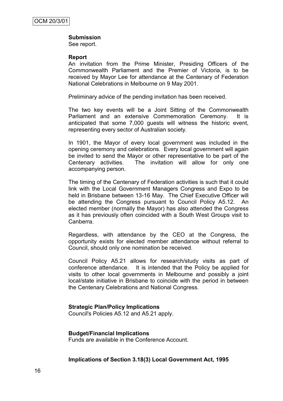#### **Submission**

See report.

#### **Report**

An invitation from the Prime Minister, Presiding Officers of the Commonwealth Parliament and the Premier of Victoria, is to be received by Mayor Lee for attendance at the Centenary of Federation National Celebrations in Melbourne on 9 May 2001.

Preliminary advice of the pending invitation has been received.

The two key events will be a Joint Sitting of the Commonwealth Parliament and an extensive Commemoration Ceremony. It is anticipated that some 7,000 guests will witness the historic event, representing every sector of Australian society.

In 1901, the Mayor of every local government was included in the opening ceremony and celebrations. Every local government will again be invited to send the Mayor or other representative to be part of the Centenary activities. The invitation will allow for only one accompanying person.

The timing of the Centenary of Federation activities is such that it could link with the Local Government Managers Congress and Expo to be held in Brisbane between 13-16 May. The Chief Executive Officer will be attending the Congress pursuant to Council Policy A5.12. An elected member (normally the Mayor) has also attended the Congress as it has previously often coincided with a South West Groups visit to Canberra.

Regardless, with attendance by the CEO at the Congress, the opportunity exists for elected member attendance without referral to Council, should only one nomination be received.

Council Policy A5.21 allows for research/study visits as part of conference attendance. It is intended that the Policy be applied for visits to other local governments in Melbourne and possibly a joint local/state initiative in Brisbane to coincide with the period in between the Centenary Celebrations and National Congress.

#### **Strategic Plan/Policy Implications**

Council's Policies A5.12 and A5.21 apply.

#### **Budget/Financial Implications**

Funds are available in the Conference Account.

#### **Implications of Section 3.18(3) Local Government Act, 1995**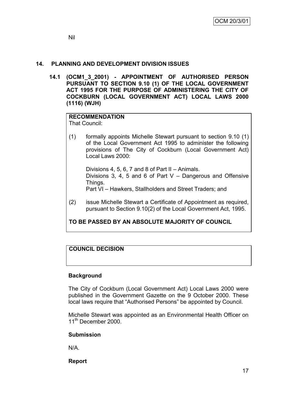# **14. PLANNING AND DEVELOPMENT DIVISION ISSUES**

**14.1 (OCM1\_3\_2001) - APPOINTMENT OF AUTHORISED PERSON PURSUANT TO SECTION 9.10 (1) OF THE LOCAL GOVERNMENT ACT 1995 FOR THE PURPOSE OF ADMINISTERING THE CITY OF COCKBURN (LOCAL GOVERNMENT ACT) LOCAL LAWS 2000 (1116) (WJH)**

#### **RECOMMENDATION** That Council:

(1) formally appoints Michelle Stewart pursuant to section 9.10 (1) of the Local Government Act 1995 to administer the following provisions of The City of Cockburn (Local Government Act) Local Laws 2000:

Divisions 4, 5, 6, 7 and 8 of Part II – Animals. Divisions 3, 4, 5 and 6 of Part V – Dangerous and Offensive Things. Part VI – Hawkers, Stallholders and Street Traders; and

(2) issue Michelle Stewart a Certificate of Appointment as required, pursuant to Section 9.10(2) of the Local Government Act, 1995.

# **TO BE PASSED BY AN ABSOLUTE MAJORITY OF COUNCIL**

# **COUNCIL DECISION**

# **Background**

The City of Cockburn (Local Government Act) Local Laws 2000 were published in the Government Gazette on the 9 October 2000. These local laws require that "Authorised Persons" be appointed by Council.

Michelle Stewart was appointed as an Environmental Health Officer on 11<sup>th</sup> December 2000.

# **Submission**

N/A.

**Report**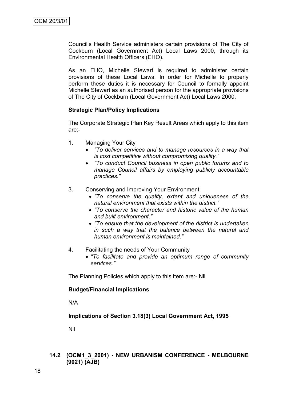Council"s Health Service administers certain provisions of The City of Cockburn (Local Government Act) Local Laws 2000, through its Environmental Health Officers (EHO).

As an EHO, Michelle Stewart is required to administer certain provisions of these Local Laws. In order for Michelle to properly perform these duties it is necessary for Council to formally appoint Michelle Stewart as an authorised person for the appropriate provisions of The City of Cockburn (Local Government Act) Local Laws 2000.

# **Strategic Plan/Policy Implications**

The Corporate Strategic Plan Key Result Areas which apply to this item are:-

- 1. Managing Your City
	- *"To deliver services and to manage resources in a way that is cost competitive without compromising quality."*
	- *"To conduct Council business in open public forums and to manage Council affairs by employing publicly accountable practices."*
- 3. Conserving and Improving Your Environment
	- *"To conserve the quality, extent and uniqueness of the natural environment that exists within the district."*
	- *"To conserve the character and historic value of the human and built environment."*
	- *"To ensure that the development of the district is undertaken in such a way that the balance between the natural and human environment is maintained."*
- 4. Facilitating the needs of Your Community
	- *"To facilitate and provide an optimum range of community services."*

The Planning Policies which apply to this item are:- Nil

# **Budget/Financial Implications**

N/A

# **Implications of Section 3.18(3) Local Government Act, 1995**

Nil

# **14.2 (OCM1\_3\_2001) - NEW URBANISM CONFERENCE - MELBOURNE (9021) (AJB)**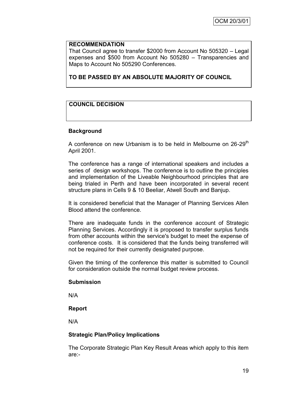#### **RECOMMENDATION**

That Council agree to transfer \$2000 from Account No 505320 – Legal expenses and \$500 from Account No 505280 – Transparencies and Maps to Account No 505290 Conferences.

**TO BE PASSED BY AN ABSOLUTE MAJORITY OF COUNCIL**

# **COUNCIL DECISION**

#### **Background**

A conference on new Urbanism is to be held in Melbourne on 26-29<sup>th</sup> April 2001.

The conference has a range of international speakers and includes a series of design workshops. The conference is to outline the principles and implementation of the Liveable Neighbourhood principles that are being trialed in Perth and have been incorporated in several recent structure plans in Cells 9 & 10 Beeliar, Atwell South and Banjup.

It is considered beneficial that the Manager of Planning Services Allen Blood attend the conference.

There are inadequate funds in the conference account of Strategic Planning Services. Accordingly it is proposed to transfer surplus funds from other accounts within the service's budget to meet the expense of conference costs. It is considered that the funds being transferred will not be required for their currently designated purpose.

Given the timing of the conference this matter is submitted to Council for consideration outside the normal budget review process.

#### **Submission**

N/A

# **Report**

N/A

# **Strategic Plan/Policy Implications**

The Corporate Strategic Plan Key Result Areas which apply to this item are:-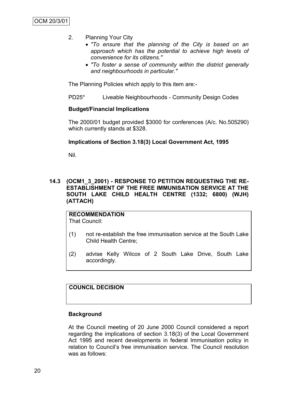- 2. Planning Your City
	- *"To ensure that the planning of the City is based on an approach which has the potential to achieve high levels of convenience for its citizens."*
	- *"To foster a sense of community within the district generally and neighbourhoods in particular."*

The Planning Policies which apply to this item are:-

PD25\* Liveable Neighbourhoods - Community Design Codes

# **Budget/Financial Implications**

The 2000/01 budget provided \$3000 for conferences (A/c. No.505290) which currently stands at \$328.

#### **Implications of Section 3.18(3) Local Government Act, 1995**

Nil.

# **14.3 (OCM1\_3\_2001) - RESPONSE TO PETITION REQUESTING THE RE-ESTABLISHMENT OF THE FREE IMMUNISATION SERVICE AT THE SOUTH LAKE CHILD HEALTH CENTRE (1332; 6800) (WJH) (ATTACH)**

**RECOMMENDATION** That Council:

- (1) not re-establish the free immunisation service at the South Lake Child Health Centre;
- (2) advise Kelly Wilcox of 2 South Lake Drive, South Lake accordingly.

# **COUNCIL DECISION**

#### **Background**

At the Council meeting of 20 June 2000 Council considered a report regarding the implications of section 3.18(3) of the Local Government Act 1995 and recent developments in federal Immunisation policy in relation to Council"s free immunisation service. The Council resolution was as follows: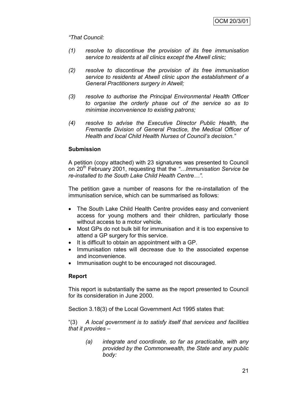*"That Council:*

- *(1) resolve to discontinue the provision of its free immunisation service to residents at all clinics except the Atwell clinic;*
- *(2) resolve to discontinue the provision of its free immunisation service to residents at Atwell clinic upon the establishment of a General Practitioners surgery in Atwell;*
- *(3) resolve to authorise the Principal Environmental Health Officer to organise the orderly phase out of the service so as to minimise inconvenience to existing patrons;*
- *(4) resolve to advise the Executive Director Public Health, the Fremantle Division of General Practice, the Medical Officer of Health and local Child Health Nurses of Council"s decision."*

# **Submission**

A petition (copy attached) with 23 signatures was presented to Council on 20th February 2001, requesting that the *"…Immunisation Service be re-installed to the South Lake Child Health Centre…".*

The petition gave a number of reasons for the re-installation of the immunisation service, which can be summarised as follows:

- The South Lake Child Health Centre provides easy and convenient access for young mothers and their children, particularly those without access to a motor vehicle.
- Most GPs do not bulk bill for immunisation and it is too expensive to attend a GP surgery for this service.
- It is difficult to obtain an appointment with a GP.
- Immunisation rates will decrease due to the associated expense and inconvenience.
- Immunisation ought to be encouraged not discouraged.

# **Report**

This report is substantially the same as the report presented to Council for its consideration in June 2000.

Section 3.18(3) of the Local Government Act 1995 states that:

"(3) *A local government is to satisfy itself that services and facilities that it provides –*

*(a) integrate and coordinate, so far as practicable, with any provided by the Commonwealth, the State and any public body:*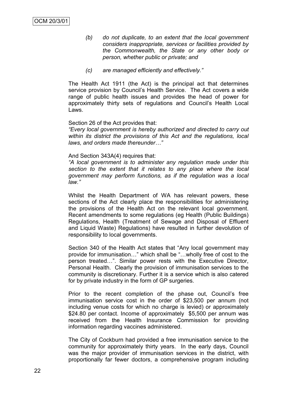- *(b) do not duplicate, to an extent that the local government considers inappropriate, services or facilities provided by the Commonwealth, the State or any other body or person, whether public or private; and*
- *(c) are managed efficiently and effectively."*

The Health Act 1911 (the Act) is the principal act that determines service provision by Council's Health Service. The Act covers a wide range of public health issues and provides the head of power for approximately thirty sets of regulations and Council"s Health Local Laws.

#### Section 26 of the Act provides that:

*"Every local government is hereby authorized and directed to carry out within its district the provisions of this Act and the regulations, local laws, and orders made thereunder…"*

#### And Section 343A(4) requires that:

*"A local government is to administer any regulation made under this section to the extent that it relates to any place where the local government may perform functions, as if the regulation was a local law."*

Whilst the Health Department of WA has relevant powers, these sections of the Act clearly place the responsibilities for administering the provisions of the Health Act on the relevant local government. Recent amendments to some regulations (eg Health (Public Buildings) Regulations, Health (Treatment of Sewage and Disposal of Effluent and Liquid Waste) Regulations) have resulted in further devolution of responsibility to local governments.

Section 340 of the Health Act states that "Any local government may provide for immunisation…" which shall be "…wholly free of cost to the person treated…". Similar power rests with the Executive Director, Personal Health. Clearly the provision of immunisation services to the community is discretionary. Further it is a service which is also catered for by private industry in the form of GP surgeries.

Prior to the recent completion of the phase out, Council's free immunisation service cost in the order of \$23,500 per annum (not including venue costs for which no charge is levied) or approximately \$24.80 per contact. Income of approximately \$5,500 per annum was received from the Health Insurance Commission for providing information regarding vaccines administered.

The City of Cockburn had provided a free immunisation service to the community for approximately thirty years. In the early days, Council was the major provider of immunisation services in the district, with proportionally far fewer doctors, a comprehensive program including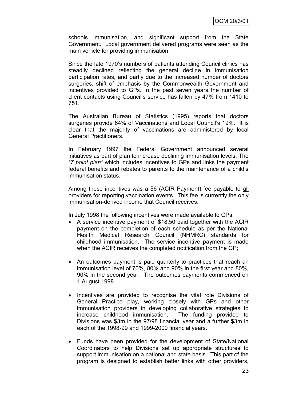schools immunisation, and significant support from the State Government. Local government delivered programs were seen as the main vehicle for providing immunisation.

Since the late 1970"s numbers of patients attending Council clinics has steadily declined reflecting the general decline in immunisation participation rates, and partly due to the increased number of doctors surgeries, shift of emphasis by the Commonwealth Government and incentives provided to GPs. In the past seven years the number of client contacts using Council"s service has fallen by 47% from 1410 to 751.

The Australian Bureau of Statistics (1995) reports that doctors surgeries provide 64% of Vaccinations and Local Council's 19%. It is clear that the majority of vaccinations are administered by local General Practitioners.

In February 1997 the Federal Government announced several initiatives as part of plan to increase declining immunisation levels. The *"7 point plan"* which includes incentives to GPs and links the payment federal benefits and rebates to parents to the maintenance of a child"s immunisation status.

Among these incentives was a \$6 (ACIR Payment) fee payable to all providers for reporting vaccination events. This fee is currently the only immunisation-derived income that Council receives.

In July 1998 the following incentives were made available to GPs.

- A service incentive payment of \$18.50 paid together with the ACIR payment on the completion of each schedule as per the National Health Medical Research Council (NHMRC) standards for childhood immunisation. The service incentive payment is made when the ACIR receives the completed notification from the GP;
- An outcomes payment is paid quarterly to practices that reach an immunisation level of 70%, 80% and 90% in the first year and 80%, 90% in the second year. The outcomes payments commenced on 1 August 1998.
- Incentives are provided to recognise the vital role Divisions of General Practice play, working closely with GPs and other immunisation providers in developing collaborative strategies to increase childhood immunisation. The funding provided to Divisions was \$3m in the 97/98 financial year and a further \$3m in each of the 1998-99 and 1999-2000 financial years.
- Funds have been provided for the development of State/National Coordinators to help Divisions set up appropriate structures to support immunisation on a national and state basis. This part of the program is designed to establish better links with other providers,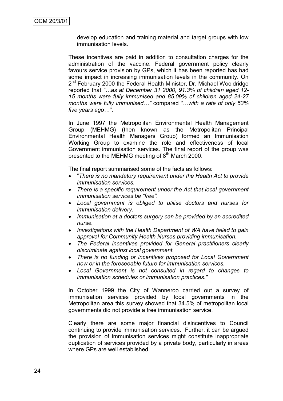develop education and training material and target groups with low immunisation levels.

These incentives are paid in addition to consultation charges for the administration of the vaccine. Federal government policy clearly favours service provision by GPs, which it has been reported has had some impact in increasing immunisation levels in the community. On 2<sup>nd</sup> February 2000 the Federal Health Minister, Dr. Michael Wooldridge reported that *"…as at December 31 2000, 91.3% of children aged 12- 15 months were fully immunised and 85.09% of children aged 24-27 months were fully immunised…"* compared *"…with a rate of only 53% five years ago…"*.

In June 1997 the Metropolitan Environmental Health Management Group (MEHMG) (then known as the Metropolitan Principal Environmental Health Managers Group) formed an Immunisation Working Group to examine the role and effectiveness of local Government immunisation services. The final report of the group was presented to the MEHMG meeting of 8<sup>th</sup> March 2000.

The final report summarised some of the facts as follows:

- "*There is no mandatory requirement under the Health Act to provide immunisation services.*
- *There is a specific requirement under the Act that local government immunisation services be "free".*
- *Local government is obliged to utilise doctors and nurses for immunisation delivery.*
- *Immunisation at a doctors surgery can be provided by an accredited nurse.*
- *Investigations with the Health Department of WA have failed to gain approval for Community Health Nurses providing immunisation.*
- *The Federal incentives provided for General practitioners clearly discriminate against local government.*
- *There is no funding or incentives proposed for Local Government now or in the foreseeable future for immunisation services.*
- *Local Government is not consulted in regard to changes to immunisation schedules or immunisation practices."*

In October 1999 the City of Wanneroo carried out a survey of immunisation services provided by local governments in the Metropolitan area this survey showed that 34.5% of metropolitan local governments did not provide a free immunisation service.

Clearly there are some major financial disincentives to Council continuing to provide immunisation services. Further, it can be argued the provision of immunisation services might constitute inappropriate duplication of services provided by a private body, particularly in areas where GPs are well established.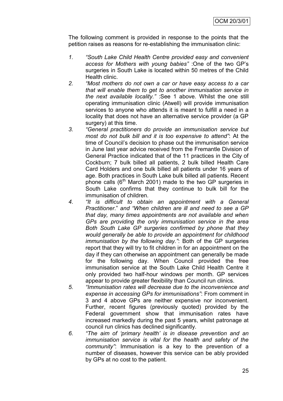The following comment is provided in response to the points that the petition raises as reasons for re-establishing the immunisation clinic:

- *1. "South Lake Child Health Centre provided easy and convenient access for Mothers with young babies"* :One of the two GP"s surgeries in South Lake is located within 50 metres of the Child Health clinic.
- *2. "Most mothers do not own a car or have easy access to a car that will enable them to get to another immunisation service in the next available locality."* :See 1 above*.* Whilst the one still operating immunisation clinic (Atwell) will provide immunisation services to anyone who attends it is meant to fulfill a need in a locality that does not have an alternative service provider (a GP surgery) at this time.
- *3. "General practitioners do provide an immunisation service but most do not bulk bill and it is too expensive to attend"*: At the time of Council"s decision to phase out the immunisation service in June last year advice received from the Fremantle Division of General Practice indicated that of the 11 practices in the City of Cockburn; 7 bulk billed all patients, 2 bulk billed Health Care Card Holders and one bulk billed all patients under 16 years of age. Both practices in South Lake bulk billed all patients. Recent phone calls  $(6<sup>th</sup>$  March 2001) made to the two GP surgeries in South Lake confirms that they continue to bulk bill for the immunisation of children.
- *4. "It is difficult to obtain an appointment with a General Practitioner*." *and "When children are ill and need to see a GP that day, many times appointments are not available and when GPs are providing the only immunisation service in the area Both South Lake GP surgeries confirmed by phone that they would generally be able to provide an appointment for childhood immunisation by the following day."*: Both of the GP surgeries report that they will try to fit children in for an appointment on the day if they can otherwise an appointment can generally be made for the following day. When Council provided the free immunisation service at the South Lake Child Health Centre it only provided two half-hour windows per month. GP services appear to provide greater flexibility than Council run clinics.
- *5. "Immunisation rates will decrease due to the inconvenience and expense in accessing GPs for immunisations"*: From comment in 3 and 4 above GPs are neither expensive nor inconvenient. Further, recent figures (previously quoted) provided by the Federal government show that immunisation rates have increased markedly during the past 5 years, whilst patronage at council run clinics has declined significantly.
- *6. "The aim of "primary health" is in disease prevention and an immunisation service is vital for the health and safety of the community"*: Immunisation is a key to the prevention of a number of diseases, however this service can be ably provided by GPs at no cost to the patient.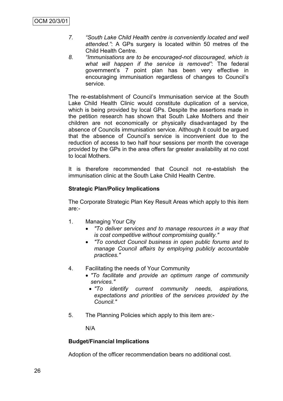- *7. "South Lake Child Health centre is conveniently located and well attended."*: A GPs surgery is located within 50 metres of the Child Health Centre.
- *8. "Immunisations are to be encouraged-not discouraged, which is what will happen if the service is removed"*: The federal government"s 7 point plan has been very effective in encouraging immunisation regardless of changes to Council"s service.

The re-establishment of Council"s Immunisation service at the South Lake Child Health Clinic would constitute duplication of a service, which is being provided by local GPs. Despite the assertions made in the petition research has shown that South Lake Mothers and their children are not economically or physically disadvantaged by the absence of Councils immunisation service. Although it could be argued that the absence of Council"s service is inconvenient due to the reduction of access to two half hour sessions per month the coverage provided by the GPs in the area offers far greater availability at no cost to local Mothers.

It is therefore recommended that Council not re-establish the immunisation clinic at the South Lake Child Health Centre.

# **Strategic Plan/Policy Implications**

The Corporate Strategic Plan Key Result Areas which apply to this item are:-

- 1. Managing Your City
	- *"To deliver services and to manage resources in a way that is cost competitive without compromising quality."*
	- *"To conduct Council business in open public forums and to manage Council affairs by employing publicly accountable practices."*
- 4. Facilitating the needs of Your Community
	- *"To facilitate and provide an optimum range of community services."*
		- *"To identify current community needs, aspirations, expectations and priorities of the services provided by the Council."*
- 5. The Planning Policies which apply to this item are:-

N/A

# **Budget/Financial Implications**

Adoption of the officer recommendation bears no additional cost.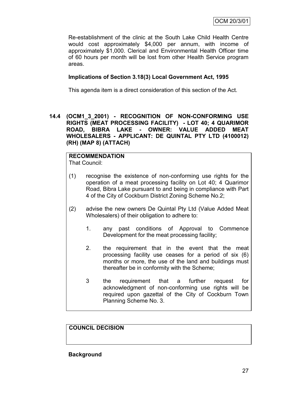Re-establishment of the clinic at the South Lake Child Health Centre would cost approximately \$4,000 per annum, with income of approximately \$1,000. Clerical and Environmental Health Officer time of 60 hours per month will be lost from other Health Service program areas.

# **Implications of Section 3.18(3) Local Government Act, 1995**

This agenda item is a direct consideration of this section of the Act.

**14.4 (OCM1\_3\_2001) - RECOGNITION OF NON-CONFORMING USE RIGHTS (MEAT PROCESSING FACILITY) - LOT 40; 4 QUARIMOR ROAD, BIBRA LAKE - OWNER: VALUE ADDED MEAT WHOLESALERS - APPLICANT: DE QUINTAL PTY LTD (4100012) (RH) (MAP 8) (ATTACH)**

#### **RECOMMENDATION** That Council:

- (1) recognise the existence of non-conforming use rights for the operation of a meat processing facility on Lot 40; 4 Quarimor Road, Bibra Lake pursuant to and being in compliance with Part 4 of the City of Cockburn District Zoning Scheme No.2;
- (2) advise the new owners De Quintal Pty Ltd (Value Added Meat Wholesalers) of their obligation to adhere to:
	- 1. any past conditions of Approval to Commence Development for the meat processing facility;
	- 2. the requirement that in the event that the meat processing facility use ceases for a period of six (6) months or more, the use of the land and buildings must thereafter be in conformity with the Scheme;
	- 3 the requirement that a further request for acknowledgment of non-conforming use rights will be required upon gazettal of the City of Cockburn Town Planning Scheme No. 3.

# **COUNCIL DECISION**

**Background**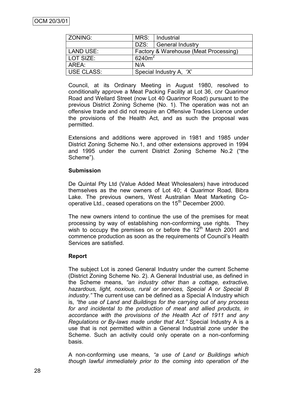| ZONING:           | MRS:                                  | Industrial              |  |
|-------------------|---------------------------------------|-------------------------|--|
|                   | DZS:                                  | <b>General Industry</b> |  |
| <b>LAND USE:</b>  | Factory & Warehouse (Meat Processing) |                         |  |
| LOT SIZE:         | 6240 $m2$                             |                         |  |
| AREA:             | N/A                                   |                         |  |
| <b>USE CLASS:</b> | Special Industry A, 'X'               |                         |  |

Council, at its Ordinary Meeting in August 1980, resolved to conditionally approve a Meat Packing Facility at Lot 36, cnr Quarimor Road and Wellard Street (now Lot 40 Quarimor Road) pursuant to the previous District Zoning Scheme (No. 1). The operation was not an offensive trade and did not require an Offensive Trades Licence under the provisions of the Health Act, and as such the proposal was permitted.

Extensions and additions were approved in 1981 and 1985 under District Zoning Scheme No.1, and other extensions approved in 1994 and 1995 under the current District Zoning Scheme No.2 ("the Scheme").

# **Submission**

De Quintal Pty Ltd (Value Added Meat Wholesalers) have introduced themselves as the new owners of Lot 40; 4 Quarimor Road, Bibra Lake. The previous owners, West Australian Meat Marketing Cooperative Ltd., ceased operations on the 15<sup>th</sup> December 2000.

The new owners intend to continue the use of the premises for meat processing by way of establishing non-conforming use rights. They wish to occupy the premises on or before the  $12<sup>th</sup>$  March 2001 and commence production as soon as the requirements of Council"s Health Services are satisfied.

# **Report**

The subject Lot is zoned General Industry under the current Scheme (District Zoning Scheme No. 2). A General Industrial use, as defined in the Scheme means, *"an industry other than a cottage, extractive, hazardous, light, noxious, rural or services, Special A or Special B industry."* The current use can be defined as a Special A Industry which is, *"the use of Land and Buildings for the carrying out of any process for and incidental to the production of meat and allied products, in accordance with the provisions of the Health Act of 1911 and any Regulations or By-laws made under that Act."* Special Industry A is a use that is not permitted within a General Industrial zone under the Scheme. Such an activity could only operate on a non-conforming basis.

A non-conforming use means, *"a use of Land or Buildings which though lawful immediately prior to the coming into operation of the*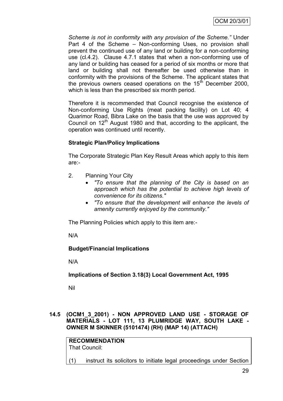*Scheme is not in conformity with any provision of the Scheme."* Under Part 4 of the Scheme – Non-conforming Uses, no provision shall prevent the continued use of any land or building for a non-conforming use (cl.4.2). Clause 4.7.1 states that when a non-conforming use of any land or building has ceased for a period of six months or more that land or building shall not thereafter be used otherwise than in conformity with the provisions of the Scheme. The applicant states that the previous owners ceased operations on the  $15<sup>th</sup>$  December 2000, which is less than the prescribed six month period.

Therefore it is recommended that Council recognise the existence of Non-conforming Use Rights (meat packing facility) on Lot 40; 4 Quarimor Road, Bibra Lake on the basis that the use was approved by Council on  $12<sup>th</sup>$  August 1980 and that, according to the applicant, the operation was continued until recently.

# **Strategic Plan/Policy Implications**

The Corporate Strategic Plan Key Result Areas which apply to this item are:-

- 2. Planning Your City
	- *"To ensure that the planning of the City is based on an approach which has the potential to achieve high levels of convenience for its citizens."*
	- *"To ensure that the development will enhance the levels of amenity currently enjoyed by the community."*

The Planning Policies which apply to this item are:-

N/A

# **Budget/Financial Implications**

N/A

**Implications of Section 3.18(3) Local Government Act, 1995**

Nil

# **14.5 (OCM1\_3\_2001) - NON APPROVED LAND USE - STORAGE OF MATERIALS - LOT 111, 13 PLUMRIDGE WAY, SOUTH LAKE - OWNER M SKINNER (5101474) (RH) (MAP 14) (ATTACH)**

**RECOMMENDATION** That Council:

(1) instruct its solicitors to initiate legal proceedings under Section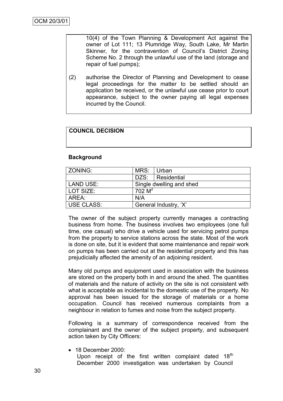10(4) of the Town Planning & Development Act against the owner of Lot 111; 13 Plumridge Way, South Lake, Mr Martin Skinner, for the contravention of Council's District Zoning Scheme No. 2 through the unlawful use of the land (storage and repair of fuel pumps);

(2) authorise the Director of Planning and Development to cease legal proceedings for the matter to be settled should an application be received, or the unlawful use cease prior to court appearance, subject to the owner paying all legal expenses incurred by the Council.

# **COUNCIL DECISION**

#### **Background**

| <b>ZONING:</b> | MRS:      | Urban                    |  |
|----------------|-----------|--------------------------|--|
|                | DZS:      | Residential              |  |
| LAND USE:      |           | Single dwelling and shed |  |
| LOT SIZE:      | $702 M^2$ |                          |  |
| l AREA:        | N/A       |                          |  |
| USE CLASS:     |           | General Industry, 'X'    |  |

The owner of the subject property currently manages a contracting business from home. The business involves two employees (one full time, one casual) who drive a vehicle used for servicing petrol pumps from the property to service stations across the state. Most of the work is done on site, but it is evident that some maintenance and repair work on pumps has been carried out at the residential property and this has prejudicially affected the amenity of an adjoining resident.

Many old pumps and equipment used in association with the business are stored on the property both in and around the shed. The quantities of materials and the nature of activity on the site is not consistent with what is acceptable as incidental to the domestic use of the property. No approval has been issued for the storage of materials or a home occupation. Council has received numerous complaints from a neighbour in relation to fumes and noise from the subject property.

Following is a summary of correspondence received from the complainant and the owner of the subject property, and subsequent action taken by City Officers:

• 18 December 2000: Upon receipt of the first written complaint dated  $18<sup>th</sup>$ December 2000 investigation was undertaken by Council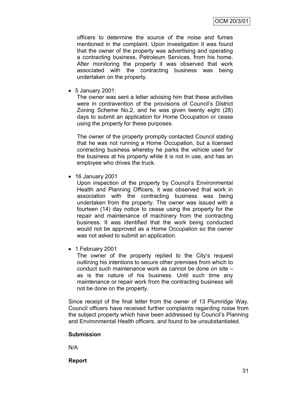officers to determine the source of the noise and fumes mentioned in the complaint. Upon investigation it was found that the owner of the property was advertising and operating a contracting business, Petroleum Services, from his home. After monitoring the property it was observed that work associated with the contracting business was being undertaken on the property.

5 January 2001:

The owner was sent a letter advising him that these activities were in contravention of the provisions of Council's District Zoning Scheme No.2, and he was given twenty eight (28) days to submit an application for Home Occupation or cease using the property for these purposes.

The owner of the property promptly contacted Council stating that he was not running a Home Occupation, but a licensed contracting business whereby he parks the vehicle used for the business at his property while it is not in use, and has an employee who drives the truck.

16 January 2001

Upon inspection of the property by Council"s Environmental Health and Planning Officers, it was observed that work in association with the contracting business was being undertaken from the property. The owner was issued with a fourteen (14) day notice to cease using the property for the repair and maintenance of machinery from the contracting business. It was identified that the work being conducted would not be approved as a Home Occupation so the owner was not asked to submit an application.

• 1 February 2001

The owner of the property replied to the City's request outlining his intentions to secure other premises from which to conduct such maintenance work as cannot be done on site – as is the nature of his business. Until such time any maintenance or repair work from the contracting business will not be done on the property.

Since receipt of the final letter from the owner of 13 Plumridge Way, Council officers have received further complaints regarding noise from the subject property which have been addressed by Council"s Planning and Environmental Health officers, and found to be unsubstantiated.

## **Submission**

N/A

**Report**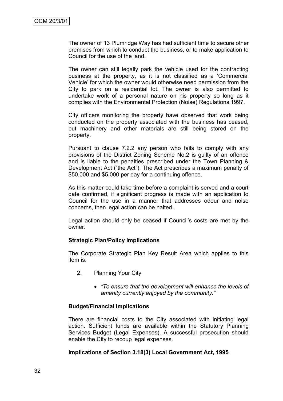The owner of 13 Plumridge Way has had sufficient time to secure other premises from which to conduct the business, or to make application to Council for the use of the land.

The owner can still legally park the vehicle used for the contracting business at the property, as it is not classified as a "Commercial Vehicle" for which the owner would otherwise need permission from the City to park on a residential lot. The owner is also permitted to undertake work of a personal nature on his property so long as it complies with the Environmental Protection (Noise) Regulations 1997.

City officers monitoring the property have observed that work being conducted on the property associated with the business has ceased, but machinery and other materials are still being stored on the property.

Pursuant to clause 7.2.2 any person who fails to comply with any provisions of the District Zoning Scheme No.2 is guilty of an offence and is liable to the penalties prescribed under the Town Planning & Development Act ("the Act"). The Act prescribes a maximum penalty of \$50,000 and \$5,000 per day for a continuing offence.

As this matter could take time before a complaint is served and a court date confirmed, if significant progress is made with an application to Council for the use in a manner that addresses odour and noise concerns, then legal action can be halted.

Legal action should only be ceased if Council"s costs are met by the owner.

## **Strategic Plan/Policy Implications**

The Corporate Strategic Plan Key Result Area which applies to this item is:

- 2. Planning Your City
	- *"To ensure that the development will enhance the levels of amenity currently enjoyed by the community."*

#### **Budget/Financial Implications**

There are financial costs to the City associated with initiating legal action. Sufficient funds are available within the Statutory Planning Services Budget (Legal Expenses). A successful prosecution should enable the City to recoup legal expenses.

#### **Implications of Section 3.18(3) Local Government Act, 1995**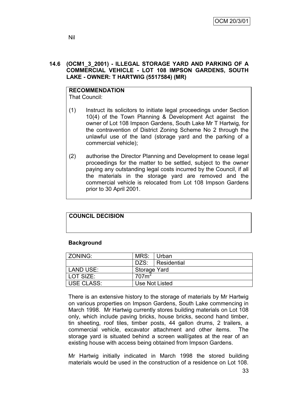## **14.6 (OCM1\_3\_2001) - ILLEGAL STORAGE YARD AND PARKING OF A COMMERCIAL VEHICLE - LOT 108 IMPSON GARDENS, SOUTH LAKE - OWNER: T HARTWIG (5517584) (MR)**

# **RECOMMENDATION**

That Council:

- (1) Instruct its solicitors to initiate legal proceedings under Section 10(4) of the Town Planning & Development Act against the owner of Lot 108 Impson Gardens, South Lake Mr T Hartwig, for the contravention of District Zoning Scheme No 2 through the unlawful use of the land (storage yard and the parking of a commercial vehicle);
- (2) authorise the Director Planning and Development to cease legal proceedings for the matter to be settled, subject to the owner paying any outstanding legal costs incurred by the Council, if all the materials in the storage yard are removed and the commercial vehicle is relocated from Lot 108 Impson Gardens prior to 30 April 2001.

## **COUNCIL DECISION**

## **Background**

| l ZONING:         | MRS: Urban        |                  |
|-------------------|-------------------|------------------|
|                   |                   | DZS: Residential |
| LAND USE:         | Storage Yard      |                  |
| LOT SIZE:         | 707m <sup>2</sup> |                  |
| <b>USE CLASS:</b> | Use Not Listed    |                  |

There is an extensive history to the storage of materials by Mr Hartwig on various properties on Impson Gardens, South Lake commencing in March 1998. Mr Hartwig currently stores building materials on Lot 108 only, which include paving bricks, house bricks, second hand timber, tin sheeting, roof tiles, timber posts, 44 gallon drums, 2 trailers, a commercial vehicle, excavator attachment and other items. The storage yard is situated behind a screen wall/gates at the rear of an existing house with access being obtained from Impson Gardens.

Mr Hartwig initially indicated in March 1998 the stored building materials would be used in the construction of a residence on Lot 108.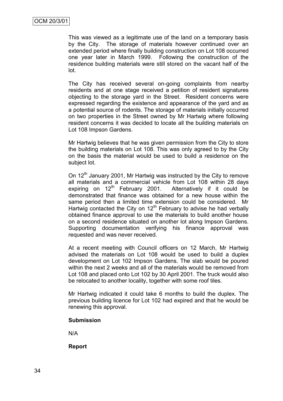This was viewed as a legitimate use of the land on a temporary basis by the City. The storage of materials however continued over an extended period where finally building construction on Lot 108 occurred one year later in March 1999. Following the construction of the residence building materials were still stored on the vacant half of the lot.

The City has received several on-going complaints from nearby residents and at one stage received a petition of resident signatures objecting to the storage yard in the Street. Resident concerns were expressed regarding the existence and appearance of the yard and as a potential source of rodents. The storage of materials initially occurred on two properties in the Street owned by Mr Hartwig where following resident concerns it was decided to locate all the building materials on Lot 108 Impson Gardens.

Mr Hartwig believes that he was given permission from the City to store the building materials on Lot 108. This was only agreed to by the City on the basis the material would be used to build a residence on the subject lot.

On 12<sup>th</sup> January 2001, Mr Hartwig was instructed by the City to remove all materials and a commercial vehicle from Lot 108 within 28 days expiring on  $12<sup>th</sup>$  February 2001. Alternatively if it could be demonstrated that finance was obtained for a new house within the same period then a limited time extension could be considered. Mr Hartwig contacted the City on  $12<sup>th</sup>$  February to advise he had verbally obtained finance approval to use the materials to build another house on a second residence situated on another lot along Impson Gardens. Supporting documentation verifying his finance approval was requested and was never received.

At a recent meeting with Council officers on 12 March, Mr Hartwig advised the materials on Lot 108 would be used to build a duplex development on Lot 102 Impson Gardens. The slab would be poured within the next 2 weeks and all of the materials would be removed from Lot 108 and placed onto Lot 102 by 30 April 2001. The truck would also be relocated to another locality, together with some roof tiles.

Mr Hartwig indicated it could take 6 months to build the duplex. The previous building licence for Lot 102 had expired and that he would be renewing this approval.

#### **Submission**

N/A

**Report**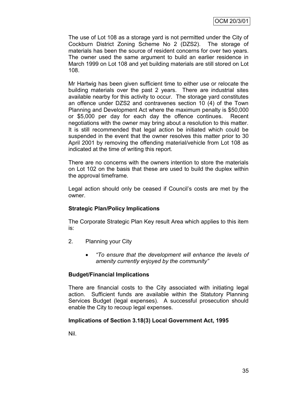The use of Lot 108 as a storage yard is not permitted under the City of Cockburn District Zoning Scheme No 2 (DZS2). The storage of materials has been the source of resident concerns for over two years. The owner used the same argument to build an earlier residence in March 1999 on Lot 108 and yet building materials are still stored on Lot 108.

Mr Hartwig has been given sufficient time to either use or relocate the building materials over the past 2 years. There are industrial sites available nearby for this activity to occur. The storage yard constitutes an offence under DZS2 and contravenes section 10 (4) of the Town Planning and Development Act where the maximum penalty is \$50,000 or \$5,000 per day for each day the offence continues. Recent negotiations with the owner may bring about a resolution to this matter. It is still recommended that legal action be initiated which could be suspended in the event that the owner resolves this matter prior to 30 April 2001 by removing the offending material/vehicle from Lot 108 as indicated at the time of writing this report.

There are no concerns with the owners intention to store the materials on Lot 102 on the basis that these are used to build the duplex within the approval timeframe.

Legal action should only be ceased if Council"s costs are met by the owner.

## **Strategic Plan/Policy Implications**

The Corporate Strategic Plan Key result Area which applies to this item is:

- 2. Planning your City
	- *"To ensure that the development will enhance the levels of amenity currently enjoyed by the community"*

## **Budget/Financial Implications**

There are financial costs to the City associated with initiating legal action. Sufficient funds are available within the Statutory Planning Services Budget (legal expenses). A successful prosecution should enable the City to recoup legal expenses.

## **Implications of Section 3.18(3) Local Government Act, 1995**

Nil.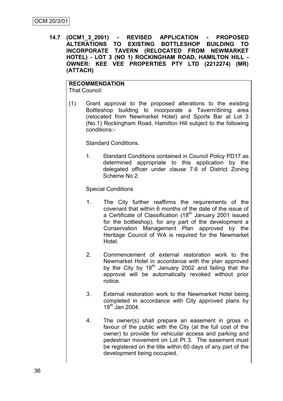**14.7 (OCM1\_3\_2001) - REVISED APPLICATION - PROPOSED ALTERATIONS TO EXISTING BOTTLESHOP BUILDING TO INCORPORATE TAVERN (RELOCATED FROM NEWMARKET HOTEL) - LOT 3 (NO 1) ROCKINGHAM ROAD, HAMILTON HILL - OWNER: KEE VEE PROPERTIES PTY LTD (2212274) (MR) (ATTACH)**

# **RECOMMENDATION**

That Council:

(1) Grant approval to the proposed alterations to the existing Bottleshop building to incorporate a Tavern/dining area (relocated from Newmarket Hotel) and Sports Bar at Lot 3 (No.1) Rockingham Road, Hamilton Hill subject to the following conditions:-

Standard Conditions.

1. Standard Conditions contained in Council Policy PD17 as determined appropriate to this application by the delegated officer under clause 7.6 of District Zoning Scheme No 2.

Special Conditions

- 1. The City further reaffirms the requirements of the covenant that within 6 months of the date of the issue of a Certificate of Classification (18<sup>th</sup> January 2001 issued for the bottleshop), for any part of the development a Conservation Management Plan approved by the Heritage Council of WA is required for the Newmarket Hotel.
- 2. Commencement of external restoration work to the Newmarket Hotel in accordance with the plan approved by the City by  $18<sup>th</sup>$  January 2002 and failing that the approval will be automatically revoked without prior notice.
- 3. External restoration work to the Newmarket Hotel being completed in accordance with City approved plans by  $18^{th}$  Jan 2004.
- 4. The owner(s) shall prepare an easement in gross in favour of the public with the City (at the full cost of the owner) to provide for vehicular access and parking and pedestrian movement on Lot Pt 3. The easement must be registered on the title within 60 days of any part of the development being occupied.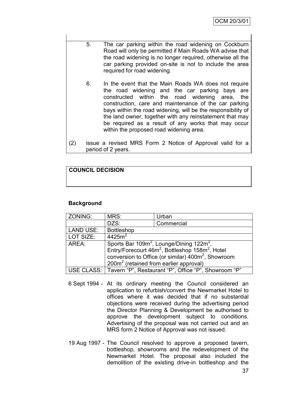| 5. | The car parking within the road widening on Cockburn       |
|----|------------------------------------------------------------|
|    | Road will only be permitted if Main Roads WA advise that   |
|    | the road widening is no longer required, otherwise all the |
|    | car parking provided on-site is not to include the area    |
|    | required for road widening.                                |

- 6. In the event that the Main Roads WA does not require the road widening and the car parking bays are constructed within the road widening area, the construction, care and maintenance of the car parking bays within the road widening, will be the responsibility of the land owner, together with any reinstatement that may be required as a result of any works that may occur within the proposed road widening area.
- (2) issue a revised MRS Form 2 Notice of Approval valid for a period of 2 years.

## **COUNCIL DECISION**

## **Background**

| ZONING:          | MRS:                                                                                                                                                                                                                                                                | Urban                                                             |  |
|------------------|---------------------------------------------------------------------------------------------------------------------------------------------------------------------------------------------------------------------------------------------------------------------|-------------------------------------------------------------------|--|
|                  | DZS:                                                                                                                                                                                                                                                                | Commercial                                                        |  |
| <b>LAND USE:</b> | <b>Bottleshop</b>                                                                                                                                                                                                                                                   |                                                                   |  |
| LOT SIZE:        | $4425m^2$                                                                                                                                                                                                                                                           |                                                                   |  |
| AREA:            | Sports Bar 109m <sup>2</sup> , Lounge/Dining 122m <sup>2</sup> ,<br>Entry/Forecourt 46m <sup>2</sup> , Bottleshop 158m <sup>2</sup> , Hotel<br>conversion to Office (or similar) 400m <sup>2</sup> , Showroom<br>200m <sup>2</sup> (retained from earlier approval) |                                                                   |  |
|                  |                                                                                                                                                                                                                                                                     | USE CLASS:   Tavern "P", Restaurant "P", Office "P", Showroom "P" |  |

- 6 Sept 1994 At its ordinary meeting the Council considered an application to refurbish/convert the Newmarket Hotel to offices where it was decided that if no substantial objections were received during the advertising period the Director Planning & Development be authorised to approve the development subject to conditions. Advertising of the proposal was not carried out and an MRS form 2 Notice of Approval was not issued.
- 19 Aug 1997 The Council resolved to approve a proposed tavern, bottleshop, showrooms and the redevelopment of the Newmarket Hotel. The proposal also included the demolition of the existing drive-in bottleshop and the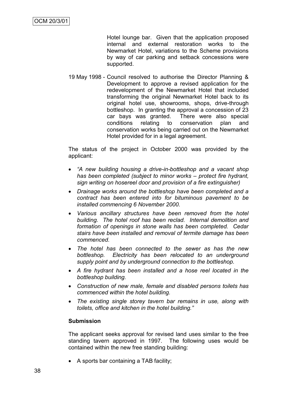Hotel lounge bar. Given that the application proposed internal and external restoration works to the Newmarket Hotel, variations to the Scheme provisions by way of car parking and setback concessions were supported.

19 May 1998 - Council resolved to authorise the Director Planning & Development to approve a revised application for the redevelopment of the Newmarket Hotel that included transforming the original Newmarket Hotel back to its original hotel use, showrooms, shops, drive-through bottleshop. In granting the approval a concession of 23 car bays was granted. There were also special conditions relating to conservation plan and conservation works being carried out on the Newmarket Hotel provided for in a legal agreement.

The status of the project in October 2000 was provided by the applicant:

- *"A new building housing a drive-in-bottleshop and a vacant shop has been completed (subject to minor works – protect fire hydrant, sign writing on hosereel door and provision of a fire extinguisher)*
- *Drainage works around the bottleshop have been completed and a contract has been entered into for bituminous pavement to be installed commencing 6 November 2000.*
- *Various ancillary structures have been removed from the hotel building. The hotel roof has been reclad. Internal demolition and formation of openings in stone walls has been completed. Cedar stairs have been installed and removal of termite damage has been commenced.*
- *The hotel has been connected to the sewer as has the new bottleshop. Electricity has been relocated to an underground supply point and by underground connection to the bottleshop.*
- *A fire hydrant has been installed and a hose reel located in the bottleshop building.*
- *Construction of new male, female and disabled persons toilets has commenced within the hotel building.*
- *The existing single storey tavern bar remains in use, along with toilets, office and kitchen in the hotel building."*

## **Submission**

The applicant seeks approval for revised land uses similar to the free standing tavern approved in 1997. The following uses would be contained within the new free standing building:

A sports bar containing a TAB facility;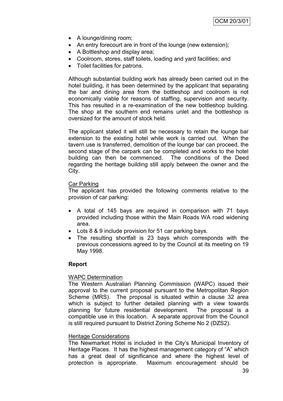- A lounge/dining room;
- An entry forecourt are in front of the lounge (new extension);
- A Bottleshop and display area;
- Coolroom, stores, staff toilets, loading and yard facilities; and
- Toilet facilities for patrons.

Although substantial building work has already been carried out in the hotel building, it has been determined by the applicant that separating the bar and dining area from the bottleshop and coolroom is not economically viable for reasons of staffing, supervision and security. This has resulted in a re-examination of the new bottleshop building. The shop at the southern end remains unlet and the bottleshop is oversized for the amount of stock held.

The applicant stated it will still be necessary to retain the lounge bar extension to the existing hotel while work is carried out. When the tavern use is transferred, demolition of the lounge bar can proceed, the second stage of the carpark can be completed and works to the hotel building can then be commenced. The conditions of the Deed regarding the heritage building still apply between the owner and the City.

## Car Parking

The applicant has provided the following comments relative to the provision of car parking:

- A total of 145 bays are required in comparison with 71 bays provided including those within the Main Roads WA road widening area.
- Lots 8 & 9 include provision for 51 car parking bays.
- The resulting shortfall is 23 bays which corresponds with the previous concessions agreed to by the Council at its meeting on 19 May 1998.

## **Report**

## WAPC Determination

The Western Australian Planning Commission (WAPC) issued their approval to the current proposal pursuant to the Metropolitan Region Scheme (MRS). The proposal is situated within a clause 32 area which is subject to further detailed planning with a view towards planning for future residential development. The proposal is a compatible use in this location. A separate approval from the Council is still required pursuant to District Zoning Scheme No 2 (DZS2).

## Heritage Considerations

The Newmarket Hotel is included in the City"s Municipal Inventory of Heritage Places. It has the highest management category of "A" which has a great deal of significance and where the highest level of protection is appropriate. Maximum encouragement should be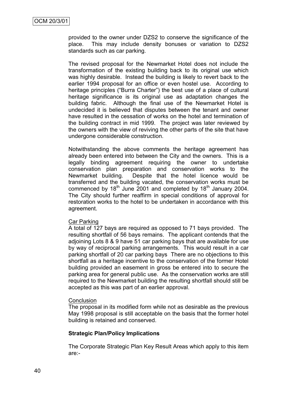provided to the owner under DZS2 to conserve the significance of the place. This may include density bonuses or variation to DZS2 standards such as car parking.

The revised proposal for the Newmarket Hotel does not include the transformation of the existing building back to its original use which was highly desirable. Instead the building is likely to revert back to the earlier 1994 proposal for an office or even hostel use. According to heritage principles ("Burra Charter") the best use of a place of cultural heritage significance is its original use as adaptation changes the building fabric. Although the final use of the Newmarket Hotel is undecided it is believed that disputes between the tenant and owner have resulted in the cessation of works on the hotel and termination of the building contract in mid 1999. The project was later reviewed by the owners with the view of reviving the other parts of the site that have undergone considerable construction.

Notwithstanding the above comments the heritage agreement has already been entered into between the City and the owners. This is a legally binding agreement requiring the owner to undertake conservation plan preparation and conservation works to the Newmarket building. Despite that the hotel licence would be transferred and the building vacated, the conservation works must be commenced by  $18<sup>th</sup>$  June 2001 and completed by  $18<sup>th</sup>$  January 2004. The City should further reaffirm in special conditions of approval for restoration works to the hotel to be undertaken in accordance with this agreement.

#### Car Parking

A total of 127 bays are required as opposed to 71 bays provided. The resulting shortfall of 56 bays remains. The applicant contends that the adjoining Lots 8 & 9 have 51 car parking bays that are available for use by way of reciprocal parking arrangements. This would result in a car parking shortfall of 20 car parking bays There are no objections to this shortfall as a heritage incentive to the conservation of the former Hotel building provided an easement in gross be entered into to secure the parking area for general public use. As the conservation works are still required to the Newmarket building the resulting shortfall should still be accepted as this was part of an earlier approval.

#### **Conclusion**

The proposal in its modified form while not as desirable as the previous May 1998 proposal is still acceptable on the basis that the former hotel building is retained and conserved.

#### **Strategic Plan/Policy Implications**

The Corporate Strategic Plan Key Result Areas which apply to this item are:-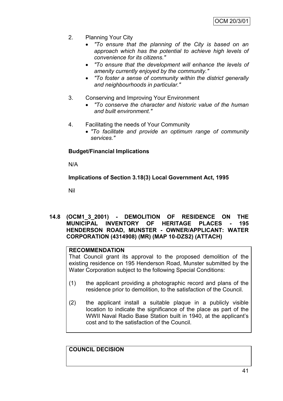- 2. Planning Your City
	- *"To ensure that the planning of the City is based on an approach which has the potential to achieve high levels of convenience for its citizens."*
	- *"To ensure that the development will enhance the levels of amenity currently enjoyed by the community."*
	- *"To foster a sense of community within the district generally and neighbourhoods in particular."*
- 3. Conserving and Improving Your Environment
	- *"To conserve the character and historic value of the human and built environment."*
- 4. Facilitating the needs of Your Community
	- *"To facilitate and provide an optimum range of community services."*

## **Budget/Financial Implications**

N/A

**Implications of Section 3.18(3) Local Government Act, 1995**

Nil

**14.8 (OCM1\_3\_2001) - DEMOLITION OF RESIDENCE ON THE MUNICIPAL INVENTORY OF HERITAGE PLACES - 195 HENDERSON ROAD, MUNSTER - OWNER/APPLICANT: WATER CORPORATION (4314908) (MR) (MAP 10-DZS2) (ATTACH)**

## **RECOMMENDATION**

That Council grant its approval to the proposed demolition of the existing residence on 195 Henderson Road, Munster submitted by the Water Corporation subject to the following Special Conditions:

- (1) the applicant providing a photographic record and plans of the residence prior to demolition, to the satisfaction of the Council.
- (2) the applicant install a suitable plaque in a publicly visible location to indicate the significance of the place as part of the WWII Naval Radio Base Station built in 1940, at the applicant's cost and to the satisfaction of the Council.

**COUNCIL DECISION**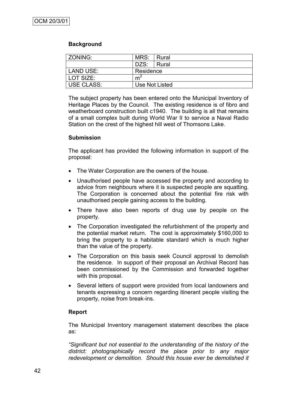## **Background**

| <b>ZONING:</b> | MRS: Rural |                |  |
|----------------|------------|----------------|--|
|                | DZS:       | Rural          |  |
| LAND USE:      | Residence  |                |  |
| LOT SIZE:      | m          |                |  |
| USE CLASS:     |            | Use Not Listed |  |

The subject property has been entered onto the Municipal Inventory of Heritage Places by the Council. The existing residence is of fibro and weatherboard construction built c1940. The building is all that remains of a small complex built during World War II to service a Naval Radio Station on the crest of the highest hill west of Thomsons Lake.

## **Submission**

The applicant has provided the following information in support of the proposal:

- The Water Corporation are the owners of the house.
- Unauthorised people have accessed the property and according to advice from neighbours where it is suspected people are squatting. The Corporation is concerned about the potential fire risk with unauthorised people gaining access to the building.
- There have also been reports of drug use by people on the property.
- The Corporation investigated the refurbishment of the property and the potential market return. The cost is approximately \$160,000 to bring the property to a habitable standard which is much higher than the value of the property.
- The Corporation on this basis seek Council approval to demolish the residence. In support of their proposal an Archival Record has been commissioned by the Commission and forwarded together with this proposal.
- Several letters of support were provided from local landowners and tenants expressing a concern regarding itinerant people visiting the property, noise from break-ins.

## **Report**

The Municipal Inventory management statement describes the place as:

*"Significant but not essential to the understanding of the history of the district: photographically record the place prior to any major redevelopment or demolition. Should this house ever be demolished it*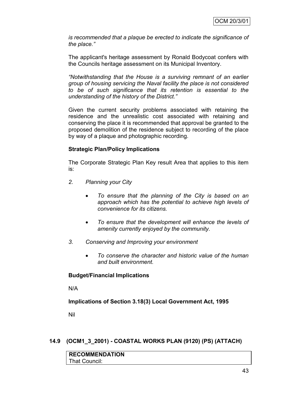*is recommended that a plaque be erected to indicate the significance of the place."*

The applicant's heritage assessment by Ronald Bodycoat confers with the Councils heritage assessment on its Municipal Inventory.

*"Notwithstanding that the House is a surviving remnant of an earlier group of housing servicing the Naval facility the place is not considered to be of such significance that its retention is essential to the understanding of the history of the District."*

Given the current security problems associated with retaining the residence and the unrealistic cost associated with retaining and conserving the place it is recommended that approval be granted to the proposed demolition of the residence subject to recording of the place by way of a plaque and photographic recording.

## **Strategic Plan/Policy Implications**

The Corporate Strategic Plan Key result Area that applies to this item is:

- *2. Planning your City*
	- *To ensure that the planning of the City is based on an approach which has the potential to achieve high levels of convenience for its citizens.*
	- *To ensure that the development will enhance the levels of amenity currently enjoyed by the community.*
- *3. Conserving and Improving your environment*
	- *To conserve the character and historic value of the human and built environment.*

## **Budget/Financial Implications**

N/A

**Implications of Section 3.18(3) Local Government Act, 1995**

Nil

## **14.9 (OCM1\_3\_2001) - COASTAL WORKS PLAN (9120) (PS) (ATTACH)**

| <b>RECOMMENDATION</b> |  |
|-----------------------|--|
| That Council:         |  |
|                       |  |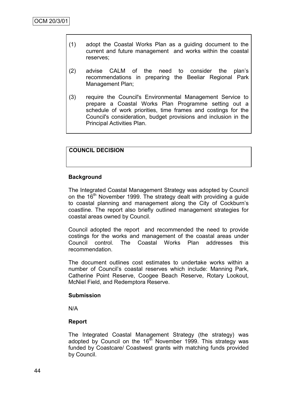- (1) adopt the Coastal Works Plan as a guiding document to the current and future management and works within the coastal reserves;
- (2) advise CALM of the need to consider the plan"s recommendations in preparing the Beeliar Regional Park Management Plan;
- (3) require the Council's Environmental Management Service to prepare a Coastal Works Plan Programme setting out a schedule of work priorities, time frames and costings for the Council's consideration, budget provisions and inclusion in the Principal Activities Plan.

## **COUNCIL DECISION**

## **Background**

The Integrated Coastal Management Strategy was adopted by Council on the  $16<sup>th</sup>$  November 1999. The strategy dealt with providing a guide to coastal planning and management along the City of Cockburn"s coastline. The report also briefly outlined management strategies for coastal areas owned by Council.

Council adopted the report and recommended the need to provide costings for the works and management of the coastal areas under Council control. The Coastal Works Plan addresses this recommendation.

The document outlines cost estimates to undertake works within a number of Council"s coastal reserves which include: Manning Park, Catherine Point Reserve, Coogee Beach Reserve, Rotary Lookout, McNiel Field, and Redemptora Reserve.

#### **Submission**

N/A

## **Report**

The Integrated Coastal Management Strategy (the strategy) was adopted by Council on the  $16<sup>th</sup>$  November 1999. This strategy was funded by Coastcare/ Coastwest grants with matching funds provided by Council.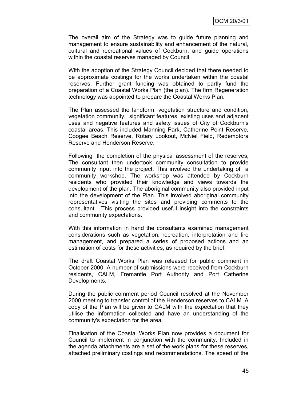The overall aim of the Strategy was to guide future planning and management to ensure sustainability and enhancement of the natural, cultural and recreational values of Cockburn, and guide operations within the coastal reserves managed by Council.

With the adoption of the Strategy Council decided that there needed to be approximate costings for the works undertaken within the coastal reserves. Further grant funding was obtained to partly fund the preparation of a Coastal Works Plan (the plan). The firm Regeneration technology was appointed to prepare the Coastal Works Plan.

The Plan assessed the landform, vegetation structure and condition, vegetation community, significant features, existing uses and adjacent uses and negative features and safety issues of City of Cockburn"s coastal areas. This included Manning Park, Catherine Point Reserve, Coogee Beach Reserve, Rotary Lookout, McNiel Field, Redemptora Reserve and Henderson Reserve.

Following the completion of the physical assessment of the reserves, The consultant then undertook community consultation to provide community input into the project. This involved the undertaking of a community workshop. The workshop was attended by Cockburn residents who provided their knowledge and views towards the development of the plan. The aboriginal community also provided input into the development of the Plan. This involved aboriginal community representatives visiting the sites and providing comments to the consultant. This process provided useful insight into the constraints and community expectations.

With this information in hand the consultants examined management considerations such as vegetation, recreation, interpretation and fire management, and prepared a series of proposed actions and an estimation of costs for these activities, as required by the brief.

The draft Coastal Works Plan was released for public comment in October 2000. A number of submissions were received from Cockburn residents, CALM, Fremantle Port Authority and Port Catherine Developments.

During the public comment period Council resolved at the November 2000 meeting to transfer control of the Henderson reserves to CALM. A copy of the Plan will be given to CALM with the expectation that they utilise the information collected and have an understanding of the community's expectation for the area.

Finalisation of the Coastal Works Plan now provides a document for Council to implement in conjunction with the community. Included in the agenda attachments are a set of the work plans for these reserves, attached preliminary costings and recommendations. The speed of the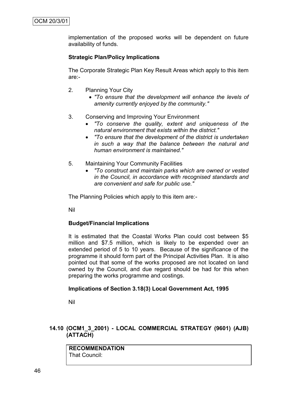implementation of the proposed works will be dependent on future availability of funds.

## **Strategic Plan/Policy Implications**

The Corporate Strategic Plan Key Result Areas which apply to this item are:-

- 2. Planning Your City
	- *"To ensure that the development will enhance the levels of amenity currently enjoyed by the community."*
- 3. Conserving and Improving Your Environment
	- *"To conserve the quality, extent and uniqueness of the natural environment that exists within the district."*
	- *"To ensure that the development of the district is undertaken in such a way that the balance between the natural and human environment is maintained."*
- 5. Maintaining Your Community Facilities
	- *"To construct and maintain parks which are owned or vested in the Council, in accordance with recognised standards and are convenient and safe for public use."*

The Planning Policies which apply to this item are:-

Nil

## **Budget/Financial Implications**

It is estimated that the Coastal Works Plan could cost between \$5 million and \$7.5 million, which is likely to be expended over an extended period of 5 to 10 years. Because of the significance of the programme it should form part of the Principal Activities Plan. It is also pointed out that some of the works proposed are not located on land owned by the Council, and due regard should be had for this when preparing the works programme and costings.

## **Implications of Section 3.18(3) Local Government Act, 1995**

Nil

## **14.10 (OCM1\_3\_2001) - LOCAL COMMERCIAL STRATEGY (9601) (AJB) (ATTACH)**

**RECOMMENDATION** That Council: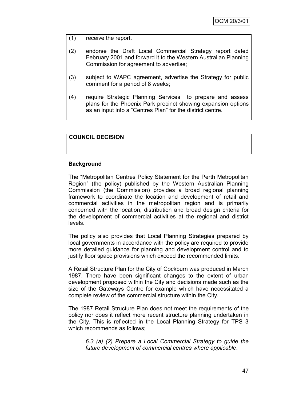- (1) receive the report.
- (2) endorse the Draft Local Commercial Strategy report dated February 2001 and forward it to the Western Australian Planning Commission for agreement to advertise;
- (3) subject to WAPC agreement, advertise the Strategy for public comment for a period of 8 weeks;
- (4) require Strategic Planning Services to prepare and assess plans for the Phoenix Park precinct showing expansion options as an input into a "Centres Plan" for the district centre.

#### **COUNCIL DECISION**

#### **Background**

The "Metropolitan Centres Policy Statement for the Perth Metropolitan Region" (the policy) published by the Western Australian Planning Commission (the Commission) provides a broad regional planning framework to coordinate the location and development of retail and commercial activities in the metropolitan region and is primarily concerned with the location, distribution and broad design criteria for the development of commercial activities at the regional and district levels.

The policy also provides that Local Planning Strategies prepared by local governments in accordance with the policy are required to provide more detailed guidance for planning and development control and to justify floor space provisions which exceed the recommended limits.

A Retail Structure Plan for the City of Cockburn was produced in March 1987. There have been significant changes to the extent of urban development proposed within the City and decisions made such as the size of the Gateways Centre for example which have necessitated a complete review of the commercial structure within the City.

The 1987 Retail Structure Plan does not meet the requirements of the policy nor does it reflect more recent structure planning undertaken in the City. This is reflected in the Local Planning Strategy for TPS 3 which recommends as follows;

*6.3 (a) (2) Prepare a Local Commercial Strategy to guide the future development of commercial centres where applicable*.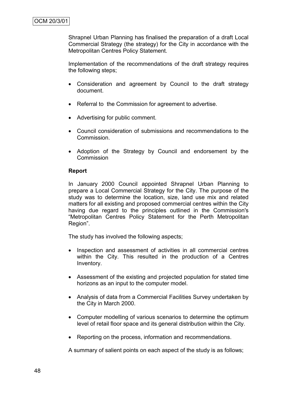Shrapnel Urban Planning has finalised the preparation of a draft Local Commercial Strategy (the strategy) for the City in accordance with the Metropolitan Centres Policy Statement.

Implementation of the recommendations of the draft strategy requires the following steps;

- Consideration and agreement by Council to the draft strategy document.
- Referral to the Commission for agreement to advertise.
- Advertising for public comment.
- Council consideration of submissions and recommendations to the Commission.
- Adoption of the Strategy by Council and endorsement by the **Commission**

## **Report**

In January 2000 Council appointed Shrapnel Urban Planning to prepare a Local Commercial Strategy for the City. The purpose of the study was to determine the location, size, land use mix and related matters for all existing and proposed commercial centres within the City having due regard to the principles outlined in the Commission's "Metropolitan Centres Policy Statement for the Perth Metropolitan Region".

The study has involved the following aspects;

- Inspection and assessment of activities in all commercial centres within the City. This resulted in the production of a Centres Inventory.
- Assessment of the existing and projected population for stated time horizons as an input to the computer model.
- Analysis of data from a Commercial Facilities Survey undertaken by the City in March 2000.
- Computer modelling of various scenarios to determine the optimum level of retail floor space and its general distribution within the City.
- Reporting on the process, information and recommendations.

A summary of salient points on each aspect of the study is as follows;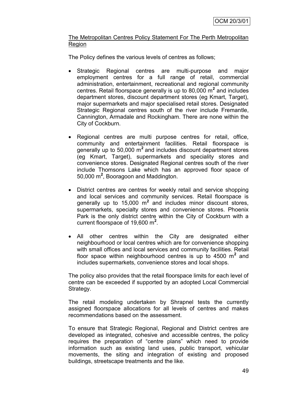## The Metropolitan Centres Policy Statement For The Perth Metropolitan **Region**

The Policy defines the various levels of centres as follows;

- Strategic Regional centres are multi-purpose and major employment centres for a full range of retail, commercial administration, entertainment, recreational and regional community centres. Retail floorspace generally is up to 80,000 m**<sup>2</sup>** and includes department stores, discount department stores (eg Kmart, Target), major supermarkets and major specialised retail stores. Designated Strategic Regional centres south of the river include Fremantle, Cannington, Armadale and Rockingham. There are none within the City of Cockburn.
- Regional centres are multi purpose centres for retail, office, community and entertainment facilities. Retail floorspace is generally up to 50,000 m**<sup>2</sup>**and includes discount department stores (eg Kmart, Target), supermarkets and speciality stores and convenience stores. Designated Regional centres south of the river include Thomsons Lake which has an approved floor space of 50,000 m**<sup>2</sup>** , Booragoon and Maddington.
- District centres are centres for weekly retail and service shopping and local services and community services. Retail floorspace is generally up to 15,000 m**<sup>2</sup>** and includes minor discount stores, supermarkets, specialty stores and convenience stores. Phoenix Park is the only district centre within the City of Cockburn with a current floorspace of 19,600 m**<sup>2</sup>** .
- All other centres within the City are designated either neighbourhood or local centres which are for convenience shopping with small offices and local services and community facilities. Retail floor space within neighbourhood centres is up to 4500 m**<sup>2</sup>** and includes supermarkets, convenience stores and local shops.

The policy also provides that the retail floorspace limits for each level of centre can be exceeded if supported by an adopted Local Commercial Strategy.

The retail modeling undertaken by Shrapnel tests the currently assigned floorspace allocations for all levels of centres and makes recommendations based on the assessment.

To ensure that Strategic Regional, Regional and District centres are developed as integrated, cohesive and accessible centres, the policy requires the preparation of "centre plans" which need to provide information such as existing land uses, public transport, vehicular movements, the siting and integration of existing and proposed buildings, streetscape treatments and the like.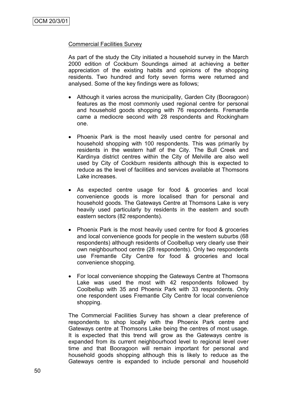#### Commercial Facilities Survey

As part of the study the City initiated a household survey in the March 2000 edition of Cockburn Soundings aimed at achieving a better appreciation of the existing habits and opinions of the shopping residents. Two hundred and forty seven forms were returned and analysed. Some of the key findings were as follows;

- Although it varies across the municipality, Garden City (Booragoon) features as the most commonly used regional centre for personal and household goods shopping with 76 respondents. Fremantle came a mediocre second with 28 respondents and Rockingham one.
- Phoenix Park is the most heavily used centre for personal and household shopping with 100 respondents. This was primarily by residents in the western half of the City. The Bull Creek and Kardinya district centres within the City of Melville are also well used by City of Cockburn residents although this is expected to reduce as the level of facilities and services available at Thomsons Lake increases.
- As expected centre usage for food & groceries and local convenience goods is more localised than for personal and household goods. The Gateways Centre at Thomsons Lake is very heavily used particularly by residents in the eastern and south eastern sectors (82 respondents).
- Phoenix Park is the most heavily used centre for food & groceries and local convenience goods for people in the western suburbs (68 respondents) although residents of Coolbellup very clearly use their own neighbourhood centre (28 respondents). Only two respondents use Fremantle City Centre for food & groceries and local convenience shopping.
- For local convenience shopping the Gateways Centre at Thomsons Lake was used the most with 42 respondents followed by Coolbellup with 35 and Phoenix Park with 33 respondents. Only one respondent uses Fremantle City Centre for local convenience shopping.

The Commercial Facilities Survey has shown a clear preference of respondents to shop locally with the Phoenix Park centre and Gateways centre at Thomsons Lake being the centres of most usage. It is expected that this trend will grow as the Gateways centre is expanded from its current neighbourhood level to regional level over time and that Booragoon will remain important for personal and household goods shopping although this is likely to reduce as the Gateways centre is expanded to include personal and household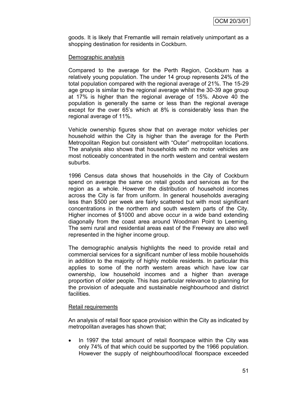goods. It is likely that Fremantle will remain relatively unimportant as a shopping destination for residents in Cockburn.

### Demographic analysis

Compared to the average for the Perth Region, Cockburn has a relatively young population. The under 14 group represents 24% of the total population compared with the regional average of 21%. The 15-29 age group is similar to the regional average whilst the 30-39 age group at 17% is higher than the regional average of 15%. Above 40 the population is generally the same or less than the regional average except for the over 65's which at 8% is considerably less than the regional average of 11%.

Vehicle ownership figures show that on average motor vehicles per household within the City is higher than the average for the Perth Metropolitan Region but consistent with "Outer" metropolitan locations. The analysis also shows that households with no motor vehicles are most noticeably concentrated in the north western and central western suburbs.

1996 Census data shows that households in the City of Cockburn spend on average the same on retail goods and services as for the region as a whole. However the distribution of household incomes across the City is far from uniform. In general households averaging less than \$500 per week are fairly scattered but with most significant concentrations in the northern and south western parts of the City. Higher incomes of \$1000 and above occur in a wide band extending diagonally from the coast area around Woodman Point to Leeming. The semi rural and residential areas east of the Freeway are also well represented in the higher income group.

The demographic analysis highlights the need to provide retail and commercial services for a significant number of less mobile households in addition to the majority of highly mobile residents. In particular this applies to some of the north western areas which have low car ownership, low household incomes and a higher than average proportion of older people. This has particular relevance to planning for the provision of adequate and sustainable neighbourhood and district facilities.

## Retail requirements

An analysis of retail floor space provision within the City as indicated by metropolitan averages has shown that;

• In 1997 the total amount of retail floorspace within the City was only 74% of that which could be supported by the 1966 population. However the supply of neighbourhood/local floorspace exceeded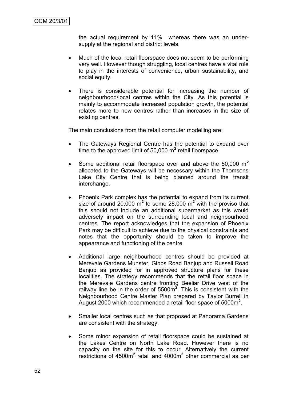the actual requirement by 11% whereas there was an undersupply at the regional and district levels.

- Much of the local retail floorspace does not seem to be performing very well. However though struggling, local centres have a vital role to play in the interests of convenience, urban sustainability, and social equity.
- There is considerable potential for increasing the number of neighbourhood/local centres within the City. As this potential is mainly to accommodate increased population growth, the potential relates more to new centres rather than increases in the size of existing centres.

The main conclusions from the retail computer modelling are:

- The Gateways Regional Centre has the potential to expand over time to the approved limit of 50,000 m**<sup>2</sup>** retail floorspace.
- Some additional retail floorspace over and above the 50,000 m**<sup>2</sup>** allocated to the Gateways will be necessary within the Thomsons Lake City Centre that is being planned around the transit interchange.
- Phoenix Park complex has the potential to expand from its current size of around 20,000 m<sup>2</sup> to some 28,000 m<sup>2</sup> with the proviso that this should not include an additional supermarket as this would adversely impact on the surrounding local and neighbourhood centres. The report acknowledges that the expansion of Phoenix Park may be difficult to achieve due to the physical constraints and notes that the opportunity should be taken to improve the appearance and functioning of the centre.
- Additional large neighbourhood centres should be provided at Merevale Gardens Munster, Gibbs Road Banjup and Russell Road Banjup as provided for in approved structure plans for these localities. The strategy recommends that the retail floor space in the Merevale Gardens centre fronting Beeliar Drive west of the railway line be in the order of 5500m**<sup>2</sup>** . This is consistent with the Neighbourhood Centre Master Plan prepared by Taylor Burrell in August 2000 which recommended a retail floor space of 5000m**<sup>2</sup>** .
- Smaller local centres such as that proposed at Panorama Gardens are consistent with the strategy.
- Some minor expansion of retail floorspace could be sustained at the Lakes Centre on North Lake Road. However there is no capacity on the site for this to occur. Alternatively the current restrictions of 4500m<sup>2</sup> retail and 4000m<sup>2</sup> other commercial as per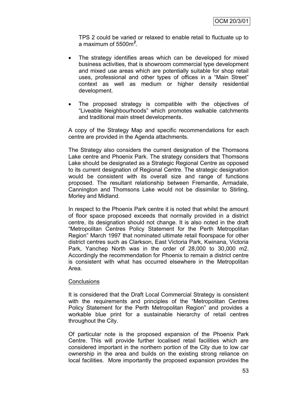TPS 2 could be varied or relaxed to enable retail to fluctuate up to a maximum of 5500m*<sup>2</sup>* .

- The strategy identifies areas which can be developed for mixed business activities, that is showroom commercial type development and mixed use areas which are potentially suitable for shop retail uses, professional and other types of offices in a "Main Street" context as well as medium or higher density residential development.
- The proposed strategy is compatible with the objectives of "Liveable Neighbourhoods" which promotes walkable catchments and traditional main street developments.

A copy of the Strategy Map and specific recommendations for each centre are provided in the Agenda attachments.

The Strategy also considers the current designation of the Thomsons Lake centre and Phoenix Park. The strategy considers that Thomsons Lake should be designated as a Strategic Regional Centre as opposed to its current designation of Regional Centre. The strategic designation would be consistent with its overall size and range of functions proposed. The resultant relationship between Fremantle, Armadale, Cannington and Thomsons Lake would not be dissimilar to Stirling, Morley and Midland.

In respect to the Phoenix Park centre it is noted that whilst the amount of floor space proposed exceeds that normally provided in a district centre, its designation should not change. It is also noted in the draft "Metropolitan Centres Policy Statement for the Perth Metropolitan Region" March 1997 that nominated ultimate retail floorspace for other district centres such as Clarkson, East Victoria Park, Kwinana, Victoria Park, Yanchep North was in the order of 28,000 to 30,000 m2. Accordingly the recommendation for Phoenix to remain a district centre is consistent with what has occurred elsewhere in the Metropolitan Area.

#### **Conclusions**

It is considered that the Draft Local Commercial Strategy is consistent with the requirements and principles of the "Metropolitan Centres Policy Statement for the Perth Metropolitan Region" and provides a workable blue print for a sustainable hierarchy of retail centres throughout the City.

Of particular note is the proposed expansion of the Phoenix Park Centre. This will provide further localised retail facilities which are considered important in the northern portion of the City due to low car ownership in the area and builds on the existing strong reliance on local facilities. More importantly the proposed expansion provides the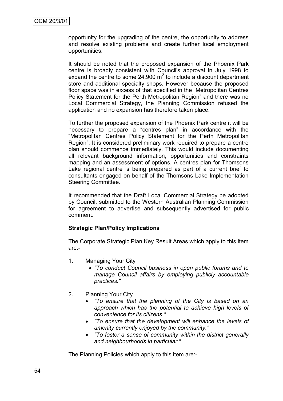opportunity for the upgrading of the centre, the opportunity to address and resolve existing problems and create further local employment opportunities.

It should be noted that the proposed expansion of the Phoenix Park centre is broadly consistent with Council's approval in July 1998 to expand the centre to some 24,900 m**<sup>2</sup>** to include a discount department store and additional specialty shops. However because the proposed floor space was in excess of that specified in the "Metropolitan Centres Policy Statement for the Perth Metropolitan Region" and there was no Local Commercial Strategy, the Planning Commission refused the application and no expansion has therefore taken place.

To further the proposed expansion of the Phoenix Park centre it will be necessary to prepare a "centres plan" in accordance with the "Metropolitan Centres Policy Statement for the Perth Metropolitan Region". It is considered preliminary work required to prepare a centre plan should commence immediately. This would include documenting all relevant background information, opportunities and constraints mapping and an assessment of options. A centres plan for Thomsons Lake regional centre is being prepared as part of a current brief to consultants engaged on behalf of the Thomsons Lake Implementation Steering Committee.

It recommended that the Draft Local Commercial Strategy be adopted by Council, submitted to the Western Australian Planning Commission for agreement to advertise and subsequently advertised for public comment.

## **Strategic Plan/Policy Implications**

The Corporate Strategic Plan Key Result Areas which apply to this item are:-

- 1. Managing Your City
	- *"To conduct Council business in open public forums and to manage Council affairs by employing publicly accountable practices."*
- 2. Planning Your City
	- *"To ensure that the planning of the City is based on an approach which has the potential to achieve high levels of convenience for its citizens."*
	- *"To ensure that the development will enhance the levels of amenity currently enjoyed by the community."*
	- *"To foster a sense of community within the district generally and neighbourhoods in particular."*

The Planning Policies which apply to this item are:-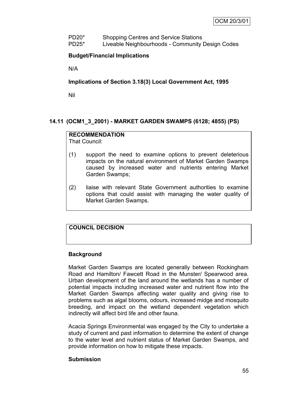PD20\* Shopping Centres and Service Stations PD25\* Liveable Neighbourhoods - Community Design Codes

## **Budget/Financial Implications**

N/A

**Implications of Section 3.18(3) Local Government Act, 1995**

Nil

## **14.11 (OCM1\_3\_2001) - MARKET GARDEN SWAMPS (6128; 4855) (PS)**

## **RECOMMENDATION**

That Council:

- (1) support the need to examine options to prevent deleterious impacts on the natural environment of Market Garden Swamps caused by increased water and nutrients entering Market Garden Swamps;
- (2) liaise with relevant State Government authorities to examine options that could assist with managing the water quality of Market Garden Swamps.

## **COUNCIL DECISION**

## **Background**

Market Garden Swamps are located generally between Rockingham Road and Hamilton/ Fawcett Road in the Munster/ Spearwood area. Urban development of the land around the wetlands has a number of potential impacts including increased water and nutrient flow into the Market Garden Swamps affecting water quality and giving rise to problems such as algal blooms, odours, increased midge and mosquito breeding, and impact on the wetland dependent vegetation which indirectly will affect bird life and other fauna.

Acacia Springs Environmental was engaged by the City to undertake a study of current and past information to determine the extent of change to the water level and nutrient status of Market Garden Swamps, and provide information on how to mitigate these impacts.

## **Submission**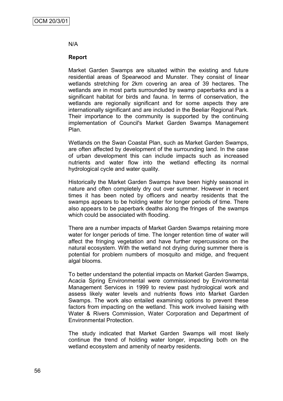#### N/A

### **Report**

Market Garden Swamps are situated within the existing and future residential areas of Spearwood and Munster. They consist of linear wetlands stretching for 2km covering an area of 39 hectares. The wetlands are in most parts surrounded by swamp paperbarks and is a significant habitat for birds and fauna. In terms of conservation, the wetlands are regionally significant and for some aspects they are internationally significant and are included in the Beeliar Regional Park. Their importance to the community is supported by the continuing implementation of Council's Market Garden Swamps Management Plan.

Wetlands on the Swan Coastal Plan, such as Market Garden Swamps, are often affected by development of the surrounding land. In the case of urban development this can include impacts such as increased nutrients and water flow into the wetland effecting its normal hydrological cycle and water quality.

Historically the Market Garden Swamps have been highly seasonal in nature and often completely dry out over summer. However in recent times it has been noted by officers and nearby residents that the swamps appears to be holding water for longer periods of time. There also appears to be paperbark deaths along the fringes of the swamps which could be associated with flooding.

There are a number impacts of Market Garden Swamps retaining more water for longer periods of time. The longer retention time of water will affect the fringing vegetation and have further repercussions on the natural ecosystem. With the wetland not drying during summer there is potential for problem numbers of mosquito and midge, and frequent algal blooms.

To better understand the potential impacts on Market Garden Swamps, Acacia Spring Environmental were commissioned by Environmental Management Services in 1999 to review past hydrological work and assess likely water levels and nutrients flows into Market Garden Swamps. The work also entailed examining options to prevent these factors from impacting on the wetland. This work involved liaising with Water & Rivers Commission, Water Corporation and Department of Environmental Protection.

The study indicated that Market Garden Swamps will most likely continue the trend of holding water longer, impacting both on the wetland ecosystem and amenity of nearby residents.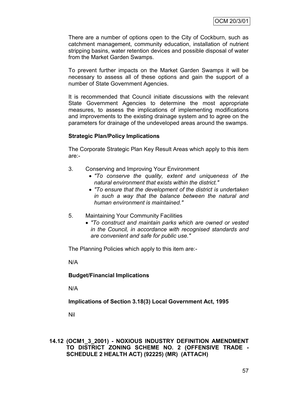There are a number of options open to the City of Cockburn, such as catchment management, community education, installation of nutrient stripping basins, water retention devices and possible disposal of water from the Market Garden Swamps.

To prevent further impacts on the Market Garden Swamps it will be necessary to assess all of these options and gain the support of a number of State Government Agencies.

It is recommended that Council initiate discussions with the relevant State Government Agencies to determine the most appropriate measures, to assess the implications of implementing modifications and improvements to the existing drainage system and to agree on the parameters for drainage of the undeveloped areas around the swamps.

## **Strategic Plan/Policy Implications**

The Corporate Strategic Plan Key Result Areas which apply to this item are:-

- 3. Conserving and Improving Your Environment
	- *"To conserve the quality, extent and uniqueness of the natural environment that exists within the district."*
	- *"To ensure that the development of the district is undertaken in such a way that the balance between the natural and human environment is maintained."*
- 5. Maintaining Your Community Facilities
	- *"To construct and maintain parks which are owned or vested in the Council, in accordance with recognised standards and are convenient and safe for public use."*

The Planning Policies which apply to this item are:-

N/A

## **Budget/Financial Implications**

N/A

**Implications of Section 3.18(3) Local Government Act, 1995**

Nil

## **14.12 (OCM1\_3\_2001) - NOXIOUS INDUSTRY DEFINITION AMENDMENT TO DISTRICT ZONING SCHEME NO. 2 (OFFENSIVE TRADE - SCHEDULE 2 HEALTH ACT) (92225) (MR) (ATTACH)**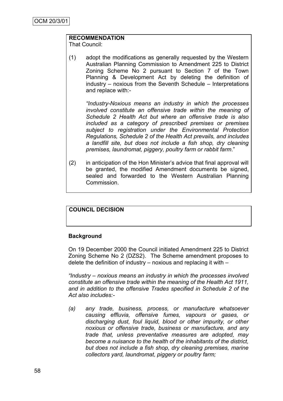# **RECOMMENDATION**

That Council:

(1) adopt the modifications as generally requested by the Western Australian Planning Commission to Amendment 225 to District Zoning Scheme No 2 pursuant to Section 7 of the Town Planning & Development Act by deleting the definition of industry – noxious from the Seventh Schedule – Interpretations and replace with:-

*"Industry-Noxious means an industry in which the processes involved constitute an offensive trade within the meaning of Schedule 2 Health Act but where an offensive trade is also included as a category of prescribed premises or premises subject to registration under the Environmental Protection Regulations, Schedule 2 of the Health Act prevails, and includes a landfill site, but does not include a fish shop, dry cleaning premises, laundromat, piggery, poultry farm or rabbit farm*."

(2) in anticipation of the Hon Minister"s advice that final approval will be granted, the modified Amendment documents be signed, sealed and forwarded to the Western Australian Planning Commission.

## **COUNCIL DECISION**

## **Background**

On 19 December 2000 the Council initiated Amendment 225 to District Zoning Scheme No 2 (DZS2). The Scheme amendment proposes to delete the definition of industry – noxious and replacing it with –

*"Industry – noxious means an industry in which the processes involved constitute an offensive trade within the meaning of the Health Act 1911, and in addition to the offensive Trades specified in Schedule 2 of the Act also includes:-*

*(a) any trade, business, process, or manufacture whatsoever causing effluvia, offensive fumes, vapours or gases, or discharging dust, foul liquid, blood or other impurity, or other noxious or offensive trade, business or manufacture, and any trade that, unless preventative measures are adopted, may become a nuisance to the health of the inhabitants of the district, but does not include a fish shop, dry cleaning premises, marine collectors yard, laundromat, piggery or poultry farm;*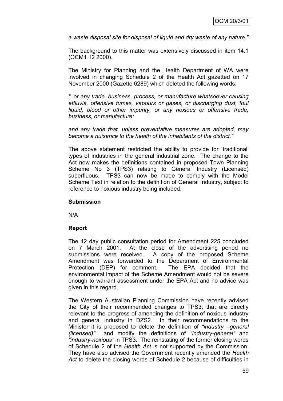*a waste disposal site for disposal of liquid and dry waste of any nature."*

The background to this matter was extensively discussed in item 14.1 (OCM1 12 2000).

The Ministry for Planning and the Health Department of WA were involved in changing Schedule 2 of the Health Act gazetted on 17 November 2000 (Gazette 6289) which deleted the following words:

*"..or any trade, business, process, or manufacture whatsoever causing effluvia, offensive fumes, vapours or gases, or discharging dust, foul liquid, blood or other impurity, or any noxious or offensive trade, business, or manufacture:*

*and any trade that, unless preventative measures are adopted, may become a nuisance to the health of the inhabitants of the district."*

The above statement restricted the ability to provide for "traditional" types of industries in the general industrial zone. The change to the Act now makes the definitions contained in proposed Town Planning Scheme No 3 (TPS3) relating to General Industry (Licensed) superfluous. TPS3 can now be made to comply with the Model Scheme Text in relation to the definition of General Industry, subject to reference to noxious industry being included.

## **Submission**

N/A

## **Report**

The 42 day public consultation period for Amendment 225 concluded on 7 March 2001. At the close of the advertising period no submissions were received. A copy of the proposed Scheme Amendment was forwarded to the Department of Environmental Protection (DEP) for comment. The EPA decided that the environmental impact of the Scheme Amendment would not be severe enough to warrant assessment under the EPA Act and no advice was given in this regard.

The Western Australian Planning Commission have recently advised the City of their recommended changes to TPS3, that are directly relevant to the progress of amending the definition of noxious industry and general industry in DZS2. In their recommendations to the Minister it is proposed to delete the definition of *"industry –general (licensed)"* and modify the definitions of *"industry-general"* and *"industry-noxious"* in TPS3. The reinstating of the former closing words of Schedule 2 of the *Health Act* is not supported by the Commission. They have also advised the Government recently amended the *Health Act* to delete the closing words of Schedule 2 because of difficulties in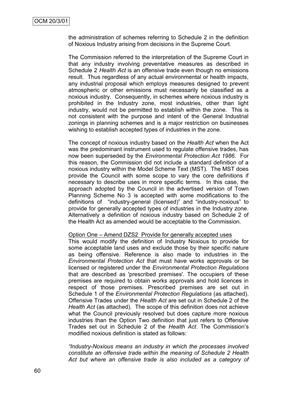the administration of schemes referring to Schedule 2 in the definition of Noxious Industry arising from decisions in the Supreme Court.

The Commission referred to the interpretation of the Supreme Court in that any industry involving preventative measures as described in Schedule 2 *Health Act* is an offensive trade even though no emissions result. Thus regardless of any actual environmental or health impacts, any industrial proposal which employs measures designed to prevent atmospheric or other emissions must necessarily be classified as a noxious industry. Consequently, in schemes where noxious industry is prohibited in the Industry zone, most industries, other than light industry, would not be permitted to establish within the zone. This is not consistent with the purpose and intent of the General Industrial zonings in planning schemes and is a major restriction on businesses wishing to establish accepted types of industries in the zone.

The concept of noxious industry based on the *Health Act* when the Act was the predominant instrument used to regulate offensive trades, has now been superseded by the *Environmental Protection Act 1986*. For this reason, the Commission did not include a standard definition of a noxious industry within the Model Scheme Text (MST). The MST does provide the Council with some scope to vary the core definitions if necessary to describe uses in more specific terms. In this case, the approach adopted by the Council in the advertised version of Town Planning Scheme No 3 is accepted with some modifications to the definitions of "industry-general (licensed)" and "industry-noxious" to provide for generally accepted types of industries in the Industry zone. Alternatively a definition of noxious industry based on Schedule 2 of the Health Act as amended would be acceptable to the Commission.

#### Option One – Amend DZS2 Provide for generally accepted uses

This would modify the definition of Industry Noxious to provide for some acceptable land uses and exclude those by their specific nature as being offensive. Reference is also made to industries in the *Environmental Protection Act* that must have works approvals or be licensed or registered under the *Environmental Protection Regulations* that are described as 'prescribed premises'. The occupiers of these premises are required to obtain works approvals and hold licences in respect of those premises. Prescribed premises are set out in Schedule 1 of the *Environmental Protection Regulations* (as attached). Offensive Trades under the *Health Act* are set out in Schedule 2 of the *Health Act* (as attached). The scope of this definition does not achieve what the Council previously resolved but does capture more noxious industries than the Option Two definition that just refers to Offensive Trades set out in Schedule 2 of the *Health Act*. The Commission"s modified noxious definition is stated as follows:

*"Industry-Noxious means an industry in which the processes involved constitute an offensive trade within the meaning of Schedule 2 Health Act but where an offensive trade is also included as a category of*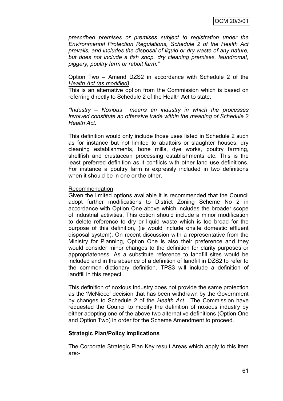*prescribed premises or premises subject to registration under the Environmental Protection Regulations, Schedule 2 of the Health Act prevails, and includes the disposal of liquid or dry waste of any nature, but does not include a fish shop, dry cleaning premises, laundromat, piggery, poultry farm or rabbit farm."*

#### Option Two – Amend DZS2 in accordance with Schedule 2 of the *Health Act (as modified)*

This is an alternative option from the Commission which is based on referring directly to Schedule 2 of the Health Act to state:

*"Industry – Noxious means an industry in which the processes involved constitute an offensive trade within the meaning of Schedule 2 Health Act.*

This definition would only include those uses listed in Schedule 2 such as for instance but not limited to abattoirs or slaughter houses, dry cleaning establishments, bone mills, dye works, poultry farming, shellfish and crustacean processing establishments etc. This is the least preferred definition as it conflicts with other land use definitions. For instance a poultry farm is expressly included in two definitions when it should be in one or the other.

#### Recommendation

Given the limited options available it is recommended that the Council adopt further modifications to District Zoning Scheme No 2 in accordance with Option One above which includes the broader scope of industrial activities. This option should include a minor modification to delete reference to dry or liquid waste which is too broad for the purpose of this definition, (ie would include onsite domestic effluent disposal system). On recent discussion with a representative from the Ministry for Planning, Option One is also their preference and they would consider minor changes to the definition for clarity purposes or appropriateness. As a substitute reference to landfill sites would be included and in the absence of a definition of landfill in DZS2 to refer to the common dictionary definition. TPS3 will include a definition of landfill in this respect.

This definition of noxious industry does not provide the same protection as the "McNiece" decision that has been withdrawn by the Government by changes to Schedule 2 of the *Health Act*. The Commission have requested the Council to modify the definition of noxious industry by either adopting one of the above two alternative definitions (Option One and Option Two) in order for the Scheme Amendment to proceed.

## **Strategic Plan/Policy Implications**

The Corporate Strategic Plan Key result Areas which apply to this item are:-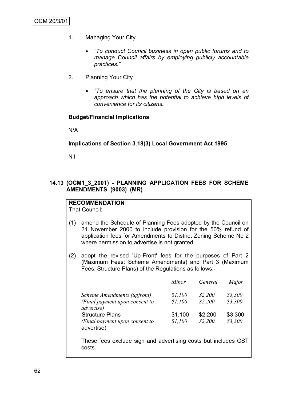- 1. Managing Your City
	- *"To conduct Council business in open public forums and to manage Council affairs by employing publicly accountable practices."*
- 2. Planning Your City
	- *"To ensure that the planning of the City is based on an approach which has the potential to achieve high levels of convenience for its citizens."*

#### **Budget/Financial Implications**

N/A

#### **Implications of Section 3.18(3) Local Government Act 1995**

Nil

## **14.13 (OCM1\_3\_2001) - PLANNING APPLICATION FEES FOR SCHEME AMENDMENTS (9003) (MR)**

## **RECOMMENDATION**

That Council:

- (1) amend the Schedule of Planning Fees adopted by the Council on 21 November 2000 to include provision for the 50% refund of application fees for Amendments to District Zoning Scheme No 2 where permission to advertise is not granted;
- (2) adopt the revised 'Up-Front' fees for the purposes of Part 2 (Maximum Fees: Scheme Amendments) and Part 3 (Maximum Fees: Structure Plans) of the Regulations as follows:-

|                                                      | Minor   | General | Major   |
|------------------------------------------------------|---------|---------|---------|
| Scheme Amendments (upfront)                          | \$1,100 | \$2,200 | \$3,300 |
| (Final payment upon consent to<br><i>advertise</i> ) | \$1,100 | \$2,200 | \$3,300 |
| <b>Structure Plans</b>                               | \$1,100 | \$2,200 | \$3,300 |
| (Final payment upon consent to<br>advertise)         | \$1,100 | \$2,200 | \$3,300 |

These fees exclude sign and advertising costs but includes GST costs.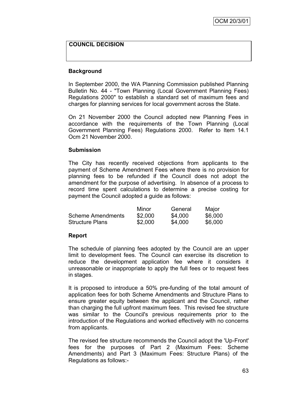## **COUNCIL DECISION**

#### **Background**

In September 2000, the WA Planning Commission published Planning Bulletin No. 44 - "Town Planning (Local Government Planning Fees) Regulations 2000" to establish a standard set of maximum fees and charges for planning services for local government across the State.

On 21 November 2000 the Council adopted new Planning Fees in accordance with the requirements of the Town Planning (Local Government Planning Fees) Regulations 2000. Refer to Item 14.1 Ocm 21 November 2000.

#### **Submission**

The City has recently received objections from applicants to the payment of Scheme Amendment Fees where there is no provision for planning fees to be refunded if the Council does not adopt the amendment for the purpose of advertising. In absence of a process to record time spent calculations to determine a precise costing for payment the Council adopted a guide as follows:

|                          | Minor   | General | Major   |
|--------------------------|---------|---------|---------|
| <b>Scheme Amendments</b> | \$2,000 | \$4,000 | \$6,000 |
| <b>Structure Plans</b>   | \$2,000 | \$4,000 | \$6,000 |

#### **Report**

The schedule of planning fees adopted by the Council are an upper limit to development fees. The Council can exercise its discretion to reduce the development application fee where it considers it unreasonable or inappropriate to apply the full fees or to request fees in stages.

It is proposed to introduce a 50% pre-funding of the total amount of application fees for both Scheme Amendments and Structure Plans to ensure greater equity between the applicant and the Council, rather than charging the full upfront maximum fees. This revised fee structure was similar to the Council's previous requirements prior to the introduction of the Regulations and worked effectively with no concerns from applicants.

The revised fee structure recommends the Council adopt the 'Up-Front' fees for the purposes of Part 2 (Maximum Fees: Scheme Amendments) and Part 3 (Maximum Fees: Structure Plans) of the Regulations as follows:-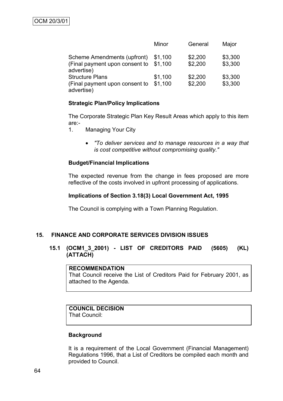|                                                                             | Minor              | General            | Major              |
|-----------------------------------------------------------------------------|--------------------|--------------------|--------------------|
| Scheme Amendments (upfront)<br>(Final payment upon consent to<br>advertise) | \$1,100<br>\$1,100 | \$2,200<br>\$2,200 | \$3,300<br>\$3,300 |
| <b>Structure Plans</b><br>(Final payment upon consent to<br>advertise)      | \$1,100<br>\$1,100 | \$2,200<br>\$2,200 | \$3,300<br>\$3,300 |

## **Strategic Plan/Policy Implications**

The Corporate Strategic Plan Key Result Areas which apply to this item are:-

1. Managing Your City

 *"To deliver services and to manage resources in a way that is cost competitive without compromising quality."*

## **Budget/Financial Implications**

The expected revenue from the change in fees proposed are more reflective of the costs involved in upfront processing of applications.

## **Implications of Section 3.18(3) Local Government Act, 1995**

The Council is complying with a Town Planning Regulation.

## **15. FINANCE AND CORPORATE SERVICES DIVISION ISSUES**

## **15.1 (OCM1\_3\_2001) - LIST OF CREDITORS PAID (5605) (KL) (ATTACH)**

#### **RECOMMENDATION**

That Council receive the List of Creditors Paid for February 2001, as attached to the Agenda.

## **COUNCIL DECISION**

That Council:

## **Background**

It is a requirement of the Local Government (Financial Management) Regulations 1996, that a List of Creditors be compiled each month and provided to Council.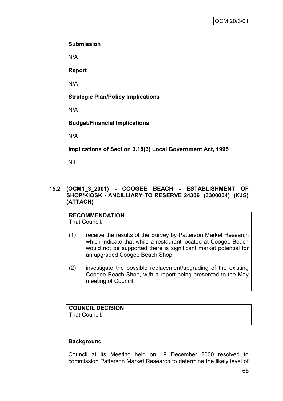## **Submission**

N/A

**Report**

N/A

## **Strategic Plan/Policy Implications**

N/A

## **Budget/Financial Implications**

N/A

**Implications of Section 3.18(3) Local Government Act, 1995**

Nil.

## **15.2 (OCM1\_3\_2001) - COOGEE BEACH - ESTABLISHMENT OF SHOP/KIOSK - ANCILLIARY TO RESERVE 24306 (3300004) (KJS) (ATTACH)**

#### **RECOMMENDATION** That Council:

- (1) receive the results of the Survey by Patterson Market Research which indicate that while a restaurant located at Coogee Beach would not be supported there is significant market potential for an upgraded Coogee Beach Shop;
- (2) investigate the possible replacement/upgrading of the existing Coogee Beach Shop, with a report being presented to the May meeting of Council.

# **COUNCIL DECISION**

That Council:

## **Background**

Council at its Meeting held on 19 December 2000 resolved to commission Patterson Market Research to determine the likely level of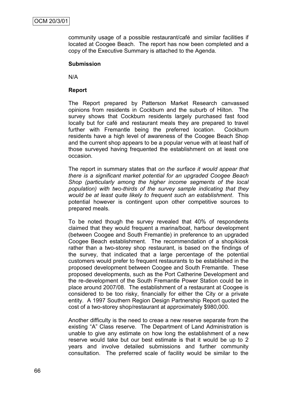community usage of a possible restaurant/café and similar facilities if located at Coogee Beach. The report has now been completed and a copy of the Executive Summary is attached to the Agenda.

### **Submission**

N/A

## **Report**

The Report prepared by Patterson Market Research canvassed opinions from residents in Cockburn and the suburb of Hilton. The survey shows that Cockburn residents largely purchased fast food locally but for café and restaurant meals they are prepared to travel further with Fremantle being the preferred location. Cockburn residents have a high level of awareness of the Coogee Beach Shop and the current shop appears to be a popular venue with at least half of those surveyed having frequented the establishment on at least one occasion.

The report in summary states that *on the surface it would appear that there is a significant market potential for an upgraded Coogee Beach Shop (particularly among the higher income segments of the local population) with two-thirds of the survey sample indicating that they would be at least quite likely to frequent such an establishment*. This potential however is contingent upon other competitive sources to prepared meals.

To be noted though the survey revealed that 40% of respondents claimed that they would frequent a marina/boat, harbour development (between Coogee and South Fremantle) in preference to an upgraded Coogee Beach establishment. The recommendation of a shop/kiosk rather than a two-storey shop restaurant, is based on the findings of the survey, that indicated that a large percentage of the potential customers would prefer to frequent restaurants to be established in the proposed development between Coogee and South Fremantle. These proposed developments, such as the Port Catherine Development and the re-development of the South Fremantle Power Station could be in place around 2007/08. The establishment of a restaurant at Coogee is considered to be too risky, financially for either the City or a private entity. A 1997 Southern Region Design Partnership Report quoted the cost of a two-storey shop/restaurant at approximately \$980,000.

Another difficulty is the need to creae a new reserve separate from the existing "A" Class reserve. The Department of Land Administration is unable to give any estimate on how long the establishment of a new reserve would take but our best estimate is that it would be up to 2 years and involve detailed submissions and further community consultation. The preferred scale of facility would be similar to the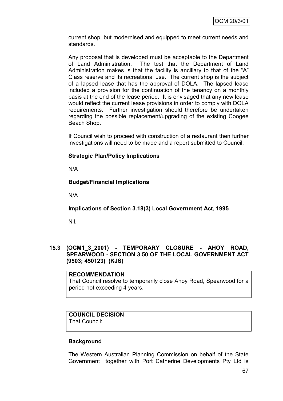current shop, but modernised and equipped to meet current needs and standards.

Any proposal that is developed must be acceptable to the Department of Land Administration. The test that the Department of Land Administration makes is that the facility is ancillary to that of the "A" Class reserve and its recreational use. The current shop is the subject of a lapsed lease that has the approval of DOLA. The lapsed lease included a provision for the continuation of the tenancy on a monthly basis at the end of the lease period. It is envisaged that any new lease would reflect the current lease provisions in order to comply with DOLA requirements. Further investigation should therefore be undertaken regarding the possible replacement/upgrading of the existing Coogee Beach Shop.

If Council wish to proceed with construction of a restaurant then further investigations will need to be made and a report submitted to Council.

# **Strategic Plan/Policy Implications**

N/A

# **Budget/Financial Implications**

N/A

**Implications of Section 3.18(3) Local Government Act, 1995**

Nil.

**15.3 (OCM1\_3\_2001) - TEMPORARY CLOSURE - AHOY ROAD, SPEARWOOD - SECTION 3.50 OF THE LOCAL GOVERNMENT ACT (9503; 450123) (KJS)**

**RECOMMENDATION** That Council resolve to temporarily close Ahoy Road, Spearwood for a period not exceeding 4 years.

# **COUNCIL DECISION**

That Council:

## **Background**

The Western Australian Planning Commission on behalf of the State Government together with Port Catherine Developments Pty Ltd is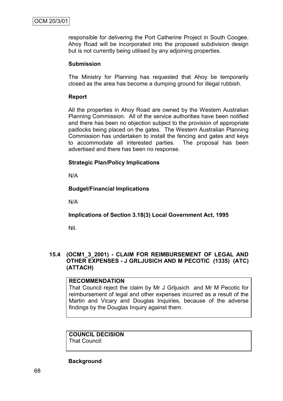responsible for delivering the Port Catherine Project in South Coogee. Ahoy Road will be incorporated into the proposed subdivision design but is not currently being utilised by any adjoining properties.

## **Submission**

The Ministry for Planning has requested that Ahoy be temporarily closed as the area has become a dumping ground for illegal rubbish.

# **Report**

All the properties in Ahoy Road are owned by the Western Australian Planning Commission. All of the service authorities have been notified and there has been no objection subject to the provision of appropriate padlocks being placed on the gates. The Western Australian Planning Commission has undertaken to install the fencing and gates and keys to accommodate all interested parties. The proposal has been advertised and there has been no response.

# **Strategic Plan/Policy Implications**

N/A

# **Budget/Financial Implications**

N/A

# **Implications of Section 3.18(3) Local Government Act, 1995**

Nil.

# **15.4 (OCM1\_3\_2001) - CLAIM FOR REIMBURSEMENT OF LEGAL AND OTHER EXPENSES - J GRLJUSICH AND M PECOTIC (1335) (ATC) (ATTACH)**

## **RECOMMENDATION**

That Council reject the claim by Mr J Grljusich and Mr M Pecotic for reimbursement of legal and other expenses incurred as a result of the Martin and Vicary and Douglas Inquiries, because of the adverse findings by the Douglas Inquiry against them.

# **COUNCIL DECISION**

That Council:

## **Background**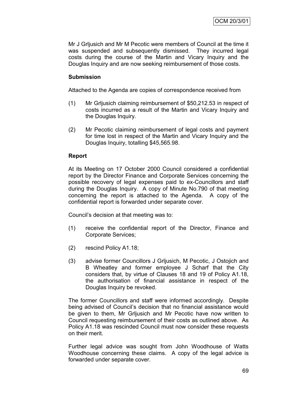Mr J Grljusich and Mr M Pecotic were members of Council at the time it was suspended and subsequently dismissed. They incurred legal costs during the course of the Martin and Vicary Inquiry and the Douglas Inquiry and are now seeking reimbursement of those costs.

## **Submission**

Attached to the Agenda are copies of correspondence received from

- (1) Mr Grljusich claiming reimbursement of \$50,212.53 in respect of costs incurred as a result of the Martin and Vicary Inquiry and the Douglas Inquiry.
- (2) Mr Pecotic claiming reimbursement of legal costs and payment for time lost in respect of the Martin and Vicary Inquiry and the Douglas Inquiry, totalling \$45,565.98.

## **Report**

At its Meeting on 17 October 2000 Council considered a confidential report by the Director Finance and Corporate Services concerning the possible recovery of legal expenses paid to ex-Councillors and staff during the Douglas Inquiry. A copy of Minute No.790 of that meeting concerning the report is attached to the Agenda. A copy of the confidential report is forwarded under separate cover.

Council"s decision at that meeting was to:

- (1) receive the confidential report of the Director, Finance and Corporate Services;
- (2) rescind Policy A1.18;
- (3) advise former Councillors J Grljusich, M Pecotic, J Ostojich and B Wheatley and former employee J Scharf that the City considers that, by virtue of Clauses 18 and 19 of Policy A1.18, the authorisation of financial assistance in respect of the Douglas Inquiry be revoked.

The former Councillors and staff were informed accordingly. Despite being advised of Council"s decision that no financial assistance would be given to them, Mr Grljusich and Mr Pecotic have now written to Council requesting reimbursement of their costs as outlined above. As Policy A1.18 was rescinded Council must now consider these requests on their merit.

Further legal advice was sought from John Woodhouse of Watts Woodhouse concerning these claims. A copy of the legal advice is forwarded under separate cover.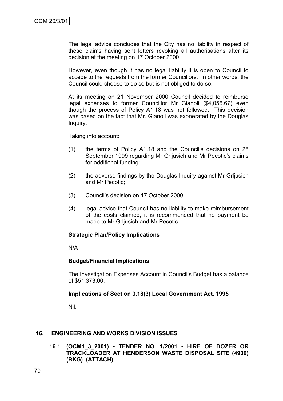The legal advice concludes that the City has no liability in respect of these claims having sent letters revoking all authorisations after its decision at the meeting on 17 October 2000.

However, even though it has no legal liability it is open to Council to accede to the requests from the former Councillors. In other words, the Council could choose to do so but is not obliged to do so.

At its meeting on 21 November 2000 Council decided to reimburse legal expenses to former Councillor Mr Gianoli (\$4,056.67) even though the process of Policy A1.18 was not followed. This decision was based on the fact that Mr. Gianoli was exonerated by the Douglas Inquiry.

Taking into account:

- (1) the terms of Policy A1.18 and the Council"s decisions on 28 September 1999 regarding Mr Grijusich and Mr Pecotic's claims for additional funding;
- (2) the adverse findings by the Douglas Inquiry against Mr Grljusich and Mr Pecotic;
- (3) Council"s decision on 17 October 2000;
- (4) legal advice that Council has no liability to make reimbursement of the costs claimed, it is recommended that no payment be made to Mr Grljusich and Mr Pecotic.

## **Strategic Plan/Policy Implications**

N/A

## **Budget/Financial Implications**

The Investigation Expenses Account in Council"s Budget has a balance of \$51,373.00.

## **Implications of Section 3.18(3) Local Government Act, 1995**

Nil.

## **16. ENGINEERING AND WORKS DIVISION ISSUES**

**16.1 (OCM1\_3\_2001) - TENDER NO. 1/2001 - HIRE OF DOZER OR TRACKLOADER AT HENDERSON WASTE DISPOSAL SITE (4900) (BKG) (ATTACH)**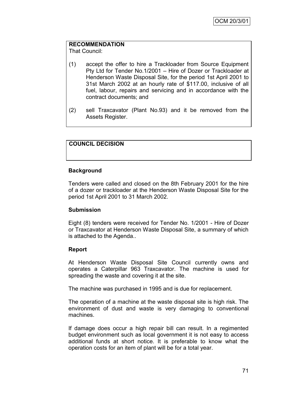# **RECOMMENDATION**

That Council:

- (1) accept the offer to hire a Trackloader from Source Equipment Pty Ltd for Tender No.1/2001 – Hire of Dozer or Trackloader at Henderson Waste Disposal Site, for the period 1st April 2001 to 31st March 2002 at an hourly rate of \$117.00, inclusive of all fuel, labour, repairs and servicing and in accordance with the contract documents; and
- (2) sell Traxcavator (Plant No.93) and it be removed from the Assets Register.

# **COUNCIL DECISION**

## **Background**

Tenders were called and closed on the 8th February 2001 for the hire of a dozer or trackloader at the Henderson Waste Disposal Site for the period 1st April 2001 to 31 March 2002.

## **Submission**

Eight (8) tenders were received for Tender No. 1/2001 - Hire of Dozer or Traxcavator at Henderson Waste Disposal Site, a summary of which is attached to the Agenda..

## **Report**

At Henderson Waste Disposal Site Council currently owns and operates a Caterpillar 963 Traxcavator. The machine is used for spreading the waste and covering it at the site.

The machine was purchased in 1995 and is due for replacement.

The operation of a machine at the waste disposal site is high risk. The environment of dust and waste is very damaging to conventional machines.

If damage does occur a high repair bill can result. In a regimented budget environment such as local government it is not easy to access additional funds at short notice. It is preferable to know what the operation costs for an item of plant will be for a total year.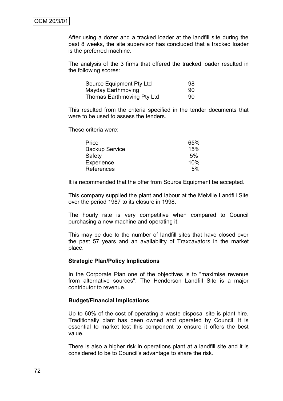After using a dozer and a tracked loader at the landfill site during the past 8 weeks, the site supervisor has concluded that a tracked loader is the preferred machine.

The analysis of the 3 firms that offered the tracked loader resulted in the following scores:

| Source Equipment Pty Ltd   | 98 |
|----------------------------|----|
| Mayday Earthmoving         | 90 |
| Thomas Earthmoving Pty Ltd | 90 |

This resulted from the criteria specified in the tender documents that were to be used to assess the tenders.

These criteria were:

| Price                 | 65% |
|-----------------------|-----|
| <b>Backup Service</b> | 15% |
| Safety                | 5%  |
| Experience            | 10% |
| References            | 5%  |

It is recommended that the offer from Source Equipment be accepted.

This company supplied the plant and labour at the Melville Landfill Site over the period 1987 to its closure in 1998.

The hourly rate is very competitive when compared to Council purchasing a new machine and operating it.

This may be due to the number of landfill sites that have closed over the past 57 years and an availability of Traxcavators in the market place.

#### **Strategic Plan/Policy Implications**

In the Corporate Plan one of the objectives is to "maximise revenue from alternative sources". The Henderson Landfill Site is a major contributor to revenue.

#### **Budget/Financial Implications**

Up to 60% of the cost of operating a waste disposal site is plant hire. Traditionally plant has been owned and operated by Council. It is essential to market test this component to ensure it offers the best value.

There is also a higher risk in operations plant at a landfill site and it is considered to be to Council's advantage to share the risk.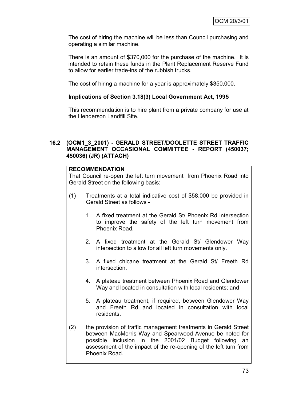The cost of hiring the machine will be less than Council purchasing and operating a similar machine.

There is an amount of \$370,000 for the purchase of the machine. It is intended to retain these funds in the Plant Replacement Reserve Fund to allow for earlier trade-ins of the rubbish trucks.

The cost of hiring a machine for a year is approximately \$350,000.

## **Implications of Section 3.18(3) Local Government Act, 1995**

This recommendation is to hire plant from a private company for use at the Henderson Landfill Site.

## **16.2 (OCM1\_3\_2001) - GERALD STREET/DOOLETTE STREET TRAFFIC MANAGEMENT OCCASIONAL COMMITTEE - REPORT (450037; 450036) (JR) (ATTACH)**

#### **RECOMMENDATION**

That Council re-open the left turn movement from Phoenix Road into Gerald Street on the following basis:

- (1) Treatments at a total indicative cost of \$58,000 be provided in Gerald Street as follows -
	- 1. A fixed treatment at the Gerald St/ Phoenix Rd intersection to improve the safety of the left turn movement from Phoenix Road.
	- 2. A fixed treatment at the Gerald St/ Glendower Way intersection to allow for all left turn movements only.
	- 3. A fixed chicane treatment at the Gerald St/ Freeth Rd intersection.
	- 4. A plateau treatment between Phoenix Road and Glendower Way and located in consultation with local residents; and
	- 5. A plateau treatment, if required, between Glendower Way and Freeth Rd and located in consultation with local residents.
- (2) the provision of traffic management treatments in Gerald Street between MacMorris Way and Spearwood Avenue be noted for possible inclusion in the 2001/02 Budget following an assessment of the impact of the re-opening of the left turn from Phoenix Road.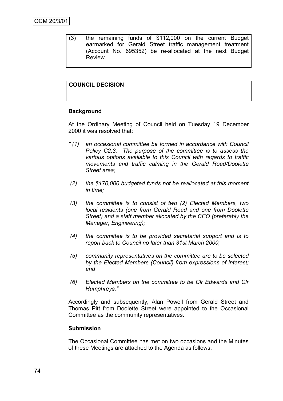(3) the remaining funds of \$112,000 on the current Budget earmarked for Gerald Street traffic management treatment (Account No. 695352) be re-allocated at the next Budget Review.

# **COUNCIL DECISION**

#### **Background**

At the Ordinary Meeting of Council held on Tuesday 19 December 2000 it was resolved that:

- *" (1) an occasional committee be formed in accordance with Council Policy C2.3. The purpose of the committee is to assess the various options available to this Council with regards to traffic movements and traffic calming in the Gerald Road/Doolette Street area;*
- *(2) the \$170,000 budgeted funds not be reallocated at this moment in time;*
- *(3) the committee is to consist of two (2) Elected Members, two local residents (one from Gerald Road and one from Doolette Street) and a staff member allocated by the CEO (preferably the Manager, Engineering);*
- *(4) the committee is to be provided secretarial support and is to report back to Council no later than 31st March 2000;*
- *(5) community representatives on the committee are to be selected by the Elected Members (Council) from expressions of interest; and*
- *(6) Elected Members on the committee to be Clr Edwards and Clr Humphreys."*

Accordingly and subsequently, Alan Powell from Gerald Street and Thomas Pitt from Doolette Street were appointed to the Occasional Committee as the community representatives.

#### **Submission**

The Occasional Committee has met on two occasions and the Minutes of these Meetings are attached to the Agenda as follows: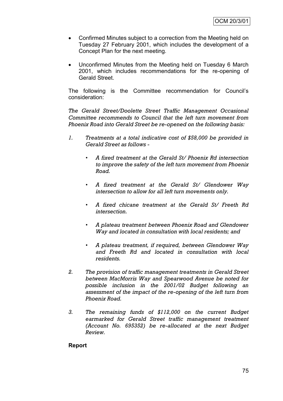- Confirmed Minutes subject to a correction from the Meeting held on Tuesday 27 February 2001, which includes the development of a Concept Plan for the next meeting.
- Unconfirmed Minutes from the Meeting held on Tuesday 6 March 2001, which includes recommendations for the re-opening of Gerald Street.

The following is the Committee recommendation for Council"s consideration:

*The Gerald Street/Doolette Street Traffic Management Occasional Committee recommends to Council that the left turn movement from Phoenix Road into Gerald Street be re-opened on the following basis:*

- *1. Treatments at a total indicative cost of \$58,000 be provided in Gerald Street as follows -*
	- *• A fixed treatment at the Gerald St/ Phoenix Rd intersection to improve the safety of the left turn movement from Phoenix Road.*
	- *• A fixed treatment at the Gerald St/ Glendower Way intersection to allow for all left turn movements only.*
	- *• A fixed chicane treatment at the Gerald St/ Freeth Rd intersection.*
	- *• A plateau treatment between Phoenix Road and Glendower Way and located in consultation with local residents; and*
	- *• A plateau treatment, if required, between Glendower Way and Freeth Rd and located in consultation with local residents.*
- *2. The provision of traffic management treatments in Gerald Street between MacMorris Way and Spearwood Avenue be noted for possible inclusion in the 2001/02 Budget following an assessment of the impact of the re-opening of the left turn from Phoenix Road.*
- *3. The remaining funds of \$112,000 on the current Budget earmarked for Gerald Street traffic management treatment (Account No. 695352) be re-allocated at the next Budget Review.*

## **Report**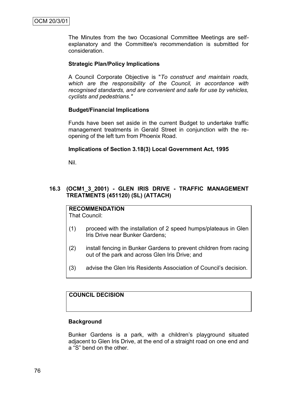The Minutes from the two Occasional Committee Meetings are selfexplanatory and the Committee's recommendation is submitted for consideration.

## **Strategic Plan/Policy Implications**

A Council Corporate Objective is "*To construct and maintain roads, which are the responsibility of the Council, in accordance with recognised standards, and are convenient and safe for use by vehicles, cyclists and pedestrians."*

## **Budget/Financial Implications**

Funds have been set aside in the current Budget to undertake traffic management treatments in Gerald Street in conjunction with the reopening of the left turn from Phoenix Road.

## **Implications of Section 3.18(3) Local Government Act, 1995**

Nil.

# **16.3 (OCM1\_3\_2001) - GLEN IRIS DRIVE - TRAFFIC MANAGEMENT TREATMENTS (451120) (SL) (ATTACH)**

**RECOMMENDATION** That Council:

- (1) proceed with the installation of 2 speed humps/plateaus in Glen Iris Drive near Bunker Gardens;
- (2) install fencing in Bunker Gardens to prevent children from racing out of the park and across Glen Iris Drive; and
- (3) advise the Glen Iris Residents Association of Council"s decision.

# **COUNCIL DECISION**

## **Background**

Bunker Gardens is a park, with a children"s playground situated adjacent to Glen Iris Drive, at the end of a straight road on one end and a "S" bend on the other.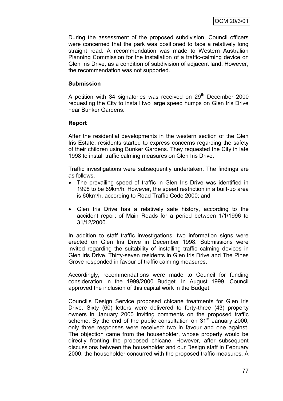During the assessment of the proposed subdivision, Council officers were concerned that the park was positioned to face a relatively long straight road. A recommendation was made to Western Australian Planning Commission for the installation of a traffic-calming device on Glen Iris Drive, as a condition of subdivision of adjacent land. However, the recommendation was not supported.

## **Submission**

A petition with 34 signatories was received on 29<sup>th</sup> December 2000 requesting the City to install two large speed humps on Glen Iris Drive near Bunker Gardens.

## **Report**

After the residential developments in the western section of the Glen Iris Estate, residents started to express concerns regarding the safety of their children using Bunker Gardens. They requested the City in late 1998 to install traffic calming measures on Glen Iris Drive.

Traffic investigations were subsequently undertaken. The findings are as follows.

- The prevailing speed of traffic in Glen Iris Drive was identified in 1998 to be 69km/h. However, the speed restriction in a built-up area is 60km/h, according to Road Traffic Code 2000; and
- Glen Iris Drive has a relatively safe history, according to the accident report of Main Roads for a period between 1/1/1996 to 31/12/2000.

In addition to staff traffic investigations, two information signs were erected on Glen Iris Drive in December 1998. Submissions were invited regarding the suitability of installing traffic calming devices in Glen Iris Drive. Thirty-seven residents in Glen Iris Drive and The Pines Grove responded in favour of traffic calming measures.

Accordingly, recommendations were made to Council for funding consideration in the 1999/2000 Budget. In August 1999, Council approved the inclusion of this capital work in the Budget.

Council"s Design Service proposed chicane treatments for Glen Iris Drive. Sixty (60) letters were delivered to forty-three (43) property owners in January 2000 inviting comments on the proposed traffic scheme. By the end of the public consultation on  $31<sup>st</sup>$  January 2000, only three responses were received: two in favour and one against. The objection came from the householder, whose property would be directly fronting the proposed chicane. However, after subsequent discussions between the householder and our Design staff in February 2000, the householder concurred with the proposed traffic measures. A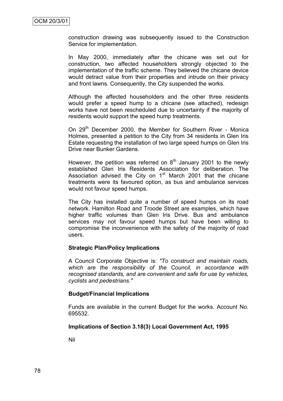construction drawing was subsequently issued to the Construction Service for implementation.

In May 2000, immediately after the chicane was set out for construction, two affected householders strongly objected to the implementation of the traffic scheme. They believed the chicane device would detract value from their properties and intrude on their privacy and front lawns. Consequently, the City suspended the works.

Although the affected householders and the other three residents would prefer a speed hump to a chicane (see attached), redesign works have not been rescheduled due to uncertainty if the majority of residents would support the speed hump treatments.

On 29<sup>th</sup> December 2000, the Member for Southern River - Monica Holmes, presented a petition to the City from 34 residents in Glen Iris Estate requesting the installation of two large speed humps on Glen Iris Drive near Bunker Gardens.

However, the petition was referred on  $8<sup>th</sup>$  January 2001 to the newly established Glen Iris Residents Association for deliberation. The Association advised the City on  $1<sup>st</sup>$  March 2001 that the chicane treatments were its favoured option, as bus and ambulance services would not favour speed humps.

The City has installed quite a number of speed humps on its road network. Hamilton Road and Troode Street are examples, which have higher traffic volumes than Glen Iris Drive. Bus and ambulance services may not favour speed humps but have been willing to compromise the inconvenience with the safety of the majority of road users.

## **Strategic Plan/Policy Implications**

A Council Corporate Objective is: *"To construct and maintain roads, which are the responsibility of the Council, in accordance with recognised standards, and are convenient and safe for use by vehicles, cyclists and pedestrians."*

#### **Budget/Financial Implications**

Funds are available in the current Budget for the works. Account No. 695532.

#### **Implications of Section 3.18(3) Local Government Act, 1995**

Nil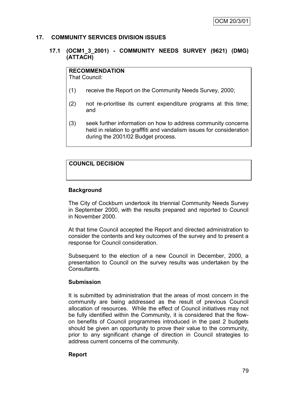#### **17. COMMUNITY SERVICES DIVISION ISSUES**

## **17.1 (OCM1\_3\_2001) - COMMUNITY NEEDS SURVEY (9621) (DMG) (ATTACH)**

# **RECOMMENDATION**

That Council:

- (1) receive the Report on the Community Needs Survey, 2000;
- (2) not re-prioritise its current expenditure programs at this time; and
- (3) seek further information on how to address community concerns held in relation to grafffiti and vandalism issues for consideration during the 2001/02 Budget process.

# **COUNCIL DECISION**

# **Background**

The City of Cockburn undertook its triennial Community Needs Survey in September 2000, with the results prepared and reported to Council in November 2000.

At that time Council accepted the Report and directed administration to consider the contents and key outcomes of the survey and to present a response for Council consideration.

Subsequent to the election of a new Council in December, 2000, a presentation to Council on the survey results was undertaken by the Consultants.

## **Submission**

It is submitted by administration that the areas of most concern in the community are being addressed as the result of previous Council allocation of resources. While the effect of Council initiatives may not be fully identified within the Community, it is considered that the flowon benefits of Council programmes introduced in the past 2 budgets should be given an opportunity to prove their value to the community, prior to any significant change of direction in Council strategies to address current concerns of the community.

## **Report**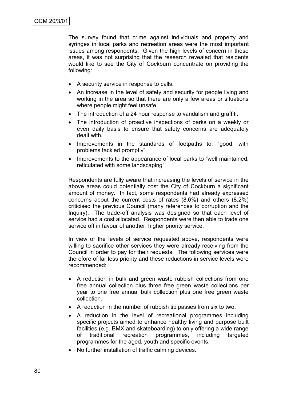The survey found that crime against individuals and property and syringes in local parks and recreation areas were the most important issues among respondents. Given the high levels of concern in these areas, it was not surprising that the research revealed that residents would like to see the City of Cockburn concentrate on providing the following:

- A security service in response to calls.
- An increase in the level of safety and security for people living and working in the area so that there are only a few areas or situations where people might feel unsafe.
- The introduction of a 24 hour response to vandalism and graffiti.
- The introduction of proactive inspections of parks on a weekly or even daily basis to ensure that safety concerns are adequately dealt with.
- Improvements in the standards of footpaths to: "good, with problems tackled promptly".
- Improvements to the appearance of local parks to "well maintained, reticulated with some landscaping".

Respondents are fully aware that increasing the levels of service in the above areas could potentially cost the City of Cockburn a significant amount of money. In fact, some respondents had already expressed concerns about the current costs of rates (8.6%) and others (8.2%) criticised the previous Council (many references to corruption and the Inquiry). The trade-off analysis was designed so that each level of service had a cost allocated. Respondents were then able to trade one service off in favour of another, higher priority service.

In view of the levels of service requested above, respondents were willing to sacrifice other services they were already receiving from the Council in order to pay for their requests. The following services were therefore of far less priority and these reductions in service levels were recommended:

- A reduction in bulk and green waste rubbish collections from one free annual collection plus three free green waste collections per year to one free annual bulk collection plus one free green waste collection.
- A reduction in the number of rubbish tip passes from six to two.
- A reduction in the level of recreational programmes including specific projects aimed to enhance healthy living and purpose built facilities (e.g. BMX and skateboarding) to only offering a wide range of traditional recreation programmes, including targeted programmes for the aged, youth and specific events.
- No further installation of traffic calming devices.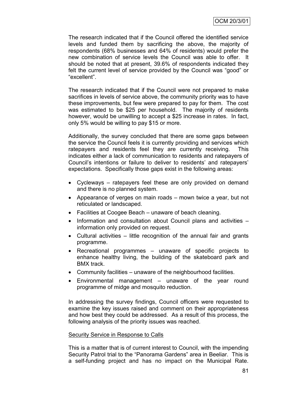The research indicated that if the Council offered the identified service levels and funded them by sacrificing the above, the majority of respondents (68% businesses and 64% of residents) would prefer the new combination of service levels the Council was able to offer. It should be noted that at present, 39.6% of respondents indicated they felt the current level of service provided by the Council was "good" or "excellent".

The research indicated that if the Council were not prepared to make sacrifices in levels of service above, the community priority was to have these improvements, but few were prepared to pay for them. The cost was estimated to be \$25 per household. The majority of residents however, would be unwilling to accept a \$25 increase in rates. In fact, only 5% would be willing to pay \$15 or more.

Additionally, the survey concluded that there are some gaps between the service the Council feels it is currently providing and services which ratepayers and residents feel they are currently receiving. This indicates either a lack of communication to residents and ratepayers of Council"s intentions or failure to deliver to residents" and ratepayers" expectations. Specifically those gaps exist in the following areas:

- Cycleways ratepayers feel these are only provided on demand and there is no planned system.
- Appearance of verges on main roads mown twice a year, but not reticulated or landscaped.
- Facilities at Coogee Beach unaware of beach cleaning.
- Information and consultation about Council plans and activities information only provided on request.
- Cultural activities little recognition of the annual fair and grants programme.
- Recreational programmes unaware of specific projects to enhance healthy living, the building of the skateboard park and BMX track.
- Community facilities unaware of the neighbourhood facilities.
- Environmental management unaware of the year round programme of midge and mosquito reduction.

In addressing the survey findings, Council officers were requested to examine the key issues raised and comment on their appropriateness and how best they could be addressed. As a result of this process, the following analysis of the priority issues was reached.

## Security Service in Response to Calls

This is a matter that is of current interest to Council, with the impending Security Patrol trial to the "Panorama Gardens" area in Beeliar. This is a self-funding project and has no impact on the Municipal Rate.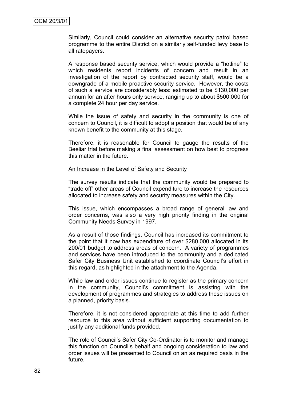Similarly, Council could consider an alternative security patrol based programme to the entire District on a similarly self-funded levy base to all ratepayers.

A response based security service, which would provide a "hotline" to which residents report incidents of concern and result in an investigation of the report by contracted security staff, would be a downgrade of a mobile proactive security service. However, the costs of such a service are considerably less: estimated to be \$130,000 per annum for an after hours only service, ranging up to about \$500,000 for a complete 24 hour per day service.

While the issue of safety and security in the community is one of concern to Council, it is difficult to adopt a position that would be of any known benefit to the community at this stage.

Therefore, it is reasonable for Council to gauge the results of the Beeliar trial before making a final assessment on how best to progress this matter in the future.

#### An Increase in the Level of Safety and Security

The survey results indicate that the community would be prepared to "trade off" other areas of Council expenditure to increase the resources allocated to increase safety and security measures within the City.

This issue, which encompasses a broad range of general law and order concerns, was also a very high priority finding in the original Community Needs Survey in 1997.

As a result of those findings, Council has increased its commitment to the point that it now has expenditure of over \$280,000 allocated in its 200/01 budget to address areas of concern. A variety of programmes and services have been introduced to the community and a dedicated Safer City Business Unit established to coordinate Council's effort in this regard, as highlighted in the attachment to the Agenda.

While law and order issues continue to register as the primary concern in the community, Council"s commitment is assisting with the development of programmes and strategies to address these issues on a planned, priority basis.

Therefore, it is not considered appropriate at this time to add further resource to this area without sufficient supporting documentation to justify any additional funds provided.

The role of Council"s Safer City Co-Ordinator is to monitor and manage this function on Council"s behalf and ongoing consideration to law and order issues will be presented to Council on an as required basis in the future.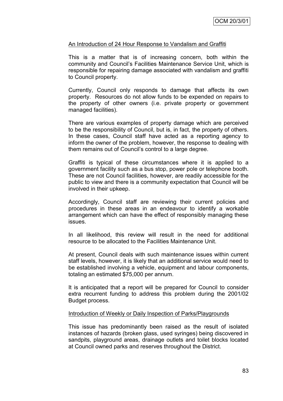### An Introduction of 24 Hour Response to Vandalism and Graffiti

This is a matter that is of increasing concern, both within the community and Council"s Facilities Maintenance Service Unit, which is responsible for repairing damage associated with vandalism and graffiti to Council property.

Currently, Council only responds to damage that affects its own property. Resources do not allow funds to be expended on repairs to the property of other owners (i.e. private property or government managed facilities).

There are various examples of property damage which are perceived to be the responsibility of Council, but is, in fact, the property of others. In these cases, Council staff have acted as a reporting agency to inform the owner of the problem, however, the response to dealing with them remains out of Council"s control to a large degree.

Graffiti is typical of these circumstances where it is applied to a government facility such as a bus stop, power pole or telephone booth. These are not Council facilities, however, are readily accessible for the public to view and there is a community expectation that Council will be involved in their upkeep.

Accordingly, Council staff are reviewing their current policies and procedures in these areas in an endeavour to identify a workable arrangement which can have the effect of responsibly managing these issues.

In all likelihood, this review will result in the need for additional resource to be allocated to the Facilities Maintenance Unit.

At present, Council deals with such maintenance issues within current staff levels, however, it is likely that an additional service would need to be established involving a vehicle, equipment and labour components, totaling an estimated \$75,000 per annum.

It is anticipated that a report will be prepared for Council to consider extra recurrent funding to address this problem during the 2001/02 Budget process.

#### Introduction of Weekly or Daily Inspection of Parks/Playgrounds

This issue has predominantly been raised as the result of isolated instances of hazards (broken glass, used syringes) being discovered in sandpits, playground areas, drainage outlets and toilet blocks located at Council owned parks and reserves throughout the District.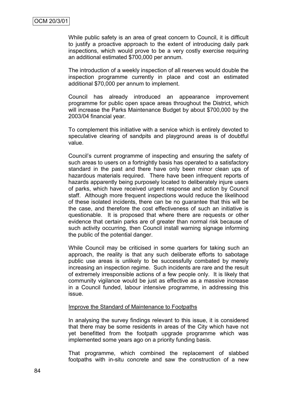While public safety is an area of great concern to Council, it is difficult to justify a proactive approach to the extent of introducing daily park inspections, which would prove to be a very costly exercise requiring an additional estimated \$700,000 per annum.

The introduction of a weekly inspection of all reserves would double the inspection programme currently in place and cost an estimated additional \$70,000 per annum to implement.

Council has already introduced an appearance improvement programme for public open space areas throughout the District, which will increase the Parks Maintenance Budget by about \$700,000 by the 2003/04 financial year.

To complement this initiative with a service which is entirely devoted to speculative clearing of sandpits and playground areas is of doubtful value.

Council"s current programme of inspecting and ensuring the safety of such areas to users on a fortnightly basis has operated to a satisfactory standard in the past and there have only been minor clean ups of hazardous materials required. There have been infrequent reports of hazards apparently being purposely located to deliberately injure users of parks, which have received urgent response and action by Council staff. Although more frequent inspections would reduce the likelihood of these isolated incidents, there can be no guarantee that this will be the case, and therefore the cost effectiveness of such an initiative is questionable. It is proposed that where there are requests or other evidence that certain parks are of greater than normal risk because of such activity occurring, then Council install warning signage informing the public of the potential danger.

While Council may be criticised in some quarters for taking such an approach, the reality is that any such deliberate efforts to sabotage public use areas is unlikely to be successfully combated by merely increasing an inspection regime. Such incidents are rare and the result of extremely irresponsible actions of a few people only. It is likely that community vigilance would be just as effective as a massive increase in a Council funded, labour intensive programme, in addressing this issue.

#### Improve the Standard of Maintenance to Footpaths

In analysing the survey findings relevant to this issue, it is considered that there may be some residents in areas of the City which have not yet benefitted from the footpath upgrade programme which was implemented some years ago on a priority funding basis.

That programme, which combined the replacement of slabbed footpaths with in-situ concrete and saw the construction of a new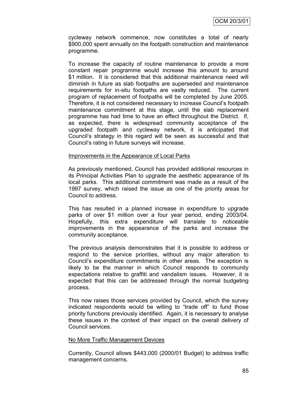cycleway network commence, now constitutes a total of nearly \$900,000 spent annually on the footpath construction and maintenance programme.

To increase the capacity of routine maintenance to provide a more constant repair programme would increase this amount to around \$1 million. It is considered that this additional maintenance need will diminish in future as slab footpaths are superseded and maintenance requirements for in-situ footpaths are vastly reduced. The current program of replacement of footpaths will be completed by June 2005. Therefore, it is not considered necessary to increase Council"s footpath maintenance commitment at this stage, until the slab replacement programme has had time to have an effect throughout the District. If, as expected, there is widespread community acceptance of the upgraded footpath and cycleway network, it is anticipated that Council"s strategy in this regard will be seen as successful and that Council"s rating in future surveys will increase.

#### Improvements in the Appearance of Local Parks

As previously mentioned, Council has provided additional resources in its Principal Activities Plan to upgrade the aesthetic appearance of its local parks. This additional commitment was made as a result of the 1997 survey, which raised the issue as one of the priority areas for Council to address.

This has resulted in a planned increase in expenditure to upgrade parks of over \$1 million over a four year period, ending 2003/04. Hopefully, this extra expenditure will translate to noticeable improvements in the appearance of the parks and increase the community acceptance.

The previous analysis demonstrates that it is possible to address or respond to the service priorities, without any major alteration to Council"s expenditure commitments in other areas. The exception is likely to be the manner in which Council responds to community expectations relative to graffiti and vandalism issues. However, it is expected that this can be addressed through the normal budgeting process.

This now raises those services provided by Council, which the survey indicated respondents would be willing to "trade off" to fund those priority functions previously identified. Again, it is necessary to analyse these issues in the context of their impact on the overall delivery of Council services.

#### No More Traffic Management Devices

Currently, Council allows \$443,000 (2000/01 Budget) to address traffic management concerns.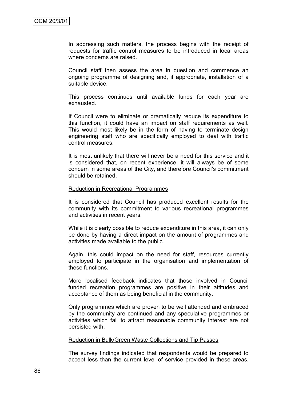In addressing such matters, the process begins with the receipt of requests for traffic control measures to be introduced in local areas where concerns are raised.

Council staff then assess the area in question and commence an ongoing programme of designing and, if appropriate, installation of a suitable device.

This process continues until available funds for each year are exhausted.

If Council were to eliminate or dramatically reduce its expenditure to this function, it could have an impact on staff requirements as well. This would most likely be in the form of having to terminate design engineering staff who are specifically employed to deal with traffic control measures.

It is most unlikely that there will never be a need for this service and it is considered that, on recent experience, it will always be of some concern in some areas of the City, and therefore Council"s commitment should be retained.

#### Reduction in Recreational Programmes

It is considered that Council has produced excellent results for the community with its commitment to various recreational programmes and activities in recent years.

While it is clearly possible to reduce expenditure in this area, it can only be done by having a direct impact on the amount of programmes and activities made available to the public.

Again, this could impact on the need for staff, resources currently employed to participate in the organisation and implementation of these functions.

More localised feedback indicates that those involved in Council funded recreation programmes are positive in their attitudes and acceptance of them as being beneficial in the community.

Only programmes which are proven to be well attended and embraced by the community are continued and any speculative programmes or activities which fail to attract reasonable community interest are not persisted with.

#### Reduction in Bulk/Green Waste Collections and Tip Passes

The survey findings indicated that respondents would be prepared to accept less than the current level of service provided in these areas,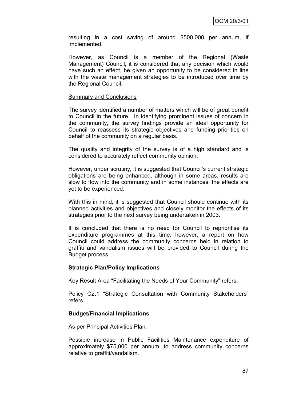resulting in a cost saving of around \$500,000 per annum, if implemented.

However, as Council is a member of the Regional (Waste Management) Council, it is considered that any decision which would have such an effect, be given an opportunity to be considered in line with the waste management strategies to be introduced over time by the Regional Council.

#### Summary and Conclusions

The survey identified a number of matters which will be of great benefit to Council in the future. In identifying prominent issues of concern in the community, the survey findings provide an ideal opportunity for Council to reassess its strategic objectives and funding priorities on behalf of the community on a regular basis.

The quality and integrity of the survey is of a high standard and is considered to accurately reflect community opinion.

However, under scrutiny, it is suggested that Council"s current strategic obligations are being enhanced, although in some areas, results are slow to flow into the community and in some instances, the effects are yet to be experienced.

With this in mind, it is suggested that Council should continue with its planned activities and objectives and closely monitor the effects of its strategies prior to the next survey being undertaken in 2003.

It is concluded that there is no need for Council to reprioritise its expenditure programmes at this time, however, a report on how Council could address the community concerns held in relation to graffiti and vandalism issues will be provided to Council during the Budget process.

## **Strategic Plan/Policy Implications**

Key Result Area "Facilitating the Needs of Your Community" refers.

Policy C2.1 "Strategic Consultation with Community Stakeholders" refers.

## **Budget/Financial Implications**

As per Principal Activities Plan.

Possible increase in Public Facilities Maintenance expenditure of approximately \$75,000 per annum, to address community concerns relative to graffiti/vandalism.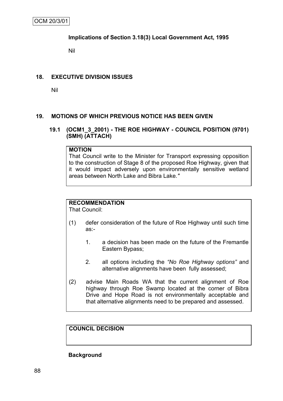## **Implications of Section 3.18(3) Local Government Act, 1995**

Nil

## **18. EXECUTIVE DIVISION ISSUES**

Nil

## **19. MOTIONS OF WHICH PREVIOUS NOTICE HAS BEEN GIVEN**

## **19.1 (OCM1\_3\_2001) - THE ROE HIGHWAY - COUNCIL POSITION (9701) (SMH) (ATTACH)**

## **MOTION**

That Council write to the Minister for Transport expressing opposition to the construction of Stage 8 of the proposed Roe Highway, given that it would impact adversely upon environmentally sensitive wetland areas between North Lake and Bibra Lake.*"*

# **RECOMMENDATION**

That Council:

- (1) defer consideration of the future of Roe Highway until such time as:-
	- 1. a decision has been made on the future of the Fremantle Eastern Bypass;
	- 2. all options including the *"No Roe Highway options"* and alternative alignments have been fully assessed;
- (2) advise Main Roads WA that the current alignment of Roe highway through Roe Swamp located at the corner of Bibra Drive and Hope Road is not environmentally acceptable and that alternative alignments need to be prepared and assessed.

**COUNCIL DECISION**

**Background**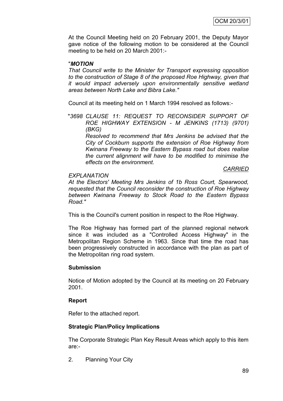At the Council Meeting held on 20 February 2001, the Deputy Mayor gave notice of the following motion to be considered at the Council meeting to be held on 20 March 2001:-

## "*MOTION*

*That Council write to the Minister for Transport expressing opposition to the construction of Stage 8 of the proposed Roe Highway, given that it would impact adversely upon environmentally sensitive wetland areas between North Lake and Bibra Lake."*

Council at its meeting held on 1 March 1994 resolved as follows:-

"*3698 CLAUSE 11: REQUEST TO RECONSIDER SUPPORT OF ROE HIGHWAY EXTENSION - M JENKINS (1713) (9701) (BKG)*

*Resolved to recommend that Mrs Jenkins be advised that the City of Cockburn supports the extension of Roe Highway from Kwinana Freeway to the Eastern Bypass road but does realise the current alignment will have to be modified to minimise the effects on the environment.*

#### *CARRIED*

*At the Electors' Meeting Mrs Jenkins of 1b Ross Court, Spearwood, requested that the Council reconsider the construction of Roe Highway between Kwinana Freeway to Stock Road to the Eastern Bypass Road."*

This is the Council's current position in respect to the Roe Highway.

The Roe Highway has formed part of the planned regional network since it was included as a "Controlled Access Highway" in the Metropolitan Region Scheme in 1963. Since that time the road has been progressively constructed in accordance with the plan as part of the Metropolitan ring road system.

## **Submission**

*EXPLANATION*

Notice of Motion adopted by the Council at its meeting on 20 February 2001.

## **Report**

Refer to the attached report.

## **Strategic Plan/Policy Implications**

The Corporate Strategic Plan Key Result Areas which apply to this item are:-

2. Planning Your City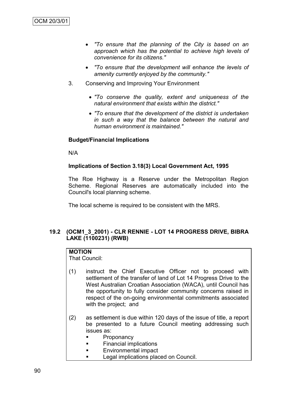- *"To ensure that the planning of the City is based on an approach which has the potential to achieve high levels of convenience for its citizens."*
- *"To ensure that the development will enhance the levels of amenity currently enjoyed by the community."*
- 3. Conserving and Improving Your Environment
	- *"To conserve the quality, extent and uniqueness of the natural environment that exists within the district."*
	- *"To ensure that the development of the district is undertaken in such a way that the balance between the natural and human environment is maintained."*

# **Budget/Financial Implications**

N/A

# **Implications of Section 3.18(3) Local Government Act, 1995**

The Roe Highway is a Reserve under the Metropolitan Region Scheme. Regional Reserves are automatically included into the Council's local planning scheme.

The local scheme is required to be consistent with the MRS.

# **19.2 (OCM1\_3\_2001) - CLR RENNIE - LOT 14 PROGRESS DRIVE, BIBRA LAKE (1100231) (RWB)**

# **MOTION**

That Council:

- (1) instruct the Chief Executive Officer not to proceed with settlement of the transfer of land of Lot 14 Progress Drive to the West Australian Croatian Association (WACA), until Council has the opportunity to fully consider community concerns raised in respect of the on-going environmental commitments associated with the project; and
- (2) as settlement is due within 120 days of the issue of title, a report be presented to a future Council meeting addressing such issues as:
	- **Proponancy**
	- Financial implications
	- Environmental impact
	- **Legal implications placed on Council.**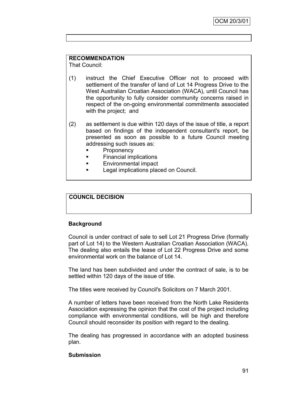# **RECOMMENDATION**

That Council:

- (1) instruct the Chief Executive Officer not to proceed with settlement of the transfer of land of Lot 14 Progress Drive to the West Australian Croatian Association (WACA), until Council has the opportunity to fully consider community concerns raised in respect of the on-going environmental commitments associated with the project; and
- (2) as settlement is due within 120 days of the issue of title, a report based on findings of the independent consultant's report, be presented as soon as possible to a future Council meeting addressing such issues as:
	- **Proponency**
	- **Financial implications**
	- Environmental impact
	- Legal implications placed on Council.

# **COUNCIL DECISION**

## **Background**

Council is under contract of sale to sell Lot 21 Progress Drive (formally part of Lot 14) to the Western Australian Croatian Association (WACA). The dealing also entails the lease of Lot 22 Progress Drive and some environmental work on the balance of Lot 14.

The land has been subdivided and under the contract of sale, is to be settled within 120 days of the issue of title.

The titles were received by Council's Solicitors on 7 March 2001.

A number of letters have been received from the North Lake Residents Association expressing the opinion that the cost of the project including compliance with environmental conditions, will be high and therefore Council should reconsider its position with regard to the dealing.

The dealing has progressed in accordance with an adopted business plan.

## **Submission**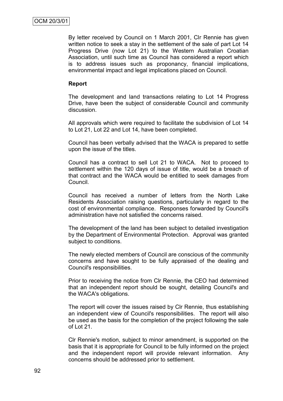By letter received by Council on 1 March 2001, Clr Rennie has given written notice to seek a stay in the settlement of the sale of part Lot 14 Progress Drive (now Lot 21) to the Western Australian Croatian Association, until such time as Council has considered a report which is to address issues such as proponancy, financial implications, environmental impact and legal implications placed on Council.

#### **Report**

The development and land transactions relating to Lot 14 Progress Drive, have been the subject of considerable Council and community discussion.

All approvals which were required to facilitate the subdivision of Lot 14 to Lot 21, Lot 22 and Lot 14, have been completed.

Council has been verbally advised that the WACA is prepared to settle upon the issue of the titles.

Council has a contract to sell Lot 21 to WACA. Not to proceed to settlement within the 120 days of issue of title, would be a breach of that contract and the WACA would be entitled to seek damages from Council.

Council has received a number of letters from the North Lake Residents Association raising questions, particularly in regard to the cost of environmental compliance. Responses forwarded by Council's administration have not satisfied the concerns raised.

The development of the land has been subject to detailed investigation by the Department of Environmental Protection. Approval was granted subject to conditions.

The newly elected members of Council are conscious of the community concerns and have sought to be fully appraised of the dealing and Council's responsibilities.

Prior to receiving the notice from Clr Rennie, the CEO had determined that an independent report should be sought, detailing Council's and the WACA's obligations.

The report will cover the issues raised by Clr Rennie, thus establishing an independent view of Council's responsibilities. The report will also be used as the basis for the completion of the project following the sale of Lot 21.

Clr Rennie's motion, subject to minor amendment, is supported on the basis that it is appropriate for Council to be fully informed on the project and the independent report will provide relevant information. Any concerns should be addressed prior to settlement.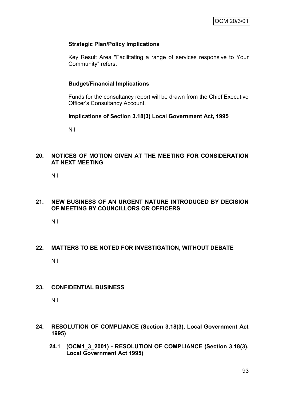### **Strategic Plan/Policy Implications**

Key Result Area "Facilitating a range of services responsive to Your Community" refers.

#### **Budget/Financial Implications**

Funds for the consultancy report will be drawn from the Chief Executive Officer's Consultancy Account.

#### **Implications of Section 3.18(3) Local Government Act, 1995**

Nil

## **20. NOTICES OF MOTION GIVEN AT THE MEETING FOR CONSIDERATION AT NEXT MEETING**

Nil

## **21. NEW BUSINESS OF AN URGENT NATURE INTRODUCED BY DECISION OF MEETING BY COUNCILLORS OR OFFICERS**

Nil

## **22. MATTERS TO BE NOTED FOR INVESTIGATION, WITHOUT DEBATE**

Nil

#### **23. CONFIDENTIAL BUSINESS**

Nil

- **24. RESOLUTION OF COMPLIANCE (Section 3.18(3), Local Government Act 1995)**
	- **24.1 (OCM1\_3\_2001) - RESOLUTION OF COMPLIANCE (Section 3.18(3), Local Government Act 1995)**